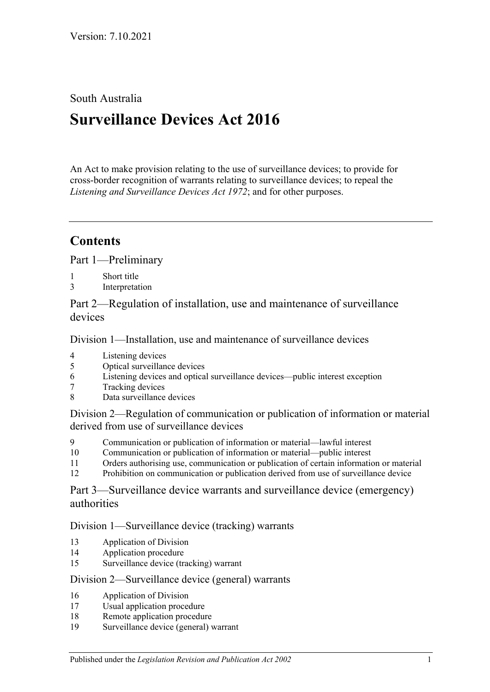## South Australia

# **Surveillance Devices Act 2016**

An Act to make provision relating to the use of surveillance devices; to provide for cross-border recognition of warrants relating to surveillance devices; to repeal the *[Listening and Surveillance Devices Act](http://www.legislation.sa.gov.au/index.aspx?action=legref&type=act&legtitle=Listening%20and%20Surveillance%20Devices%20Act%201972) 1972*; and for other purposes.

## **Contents**

Part [1—Preliminary](#page-1-0)

- 1 [Short title](#page-1-1)
- 3 [Interpretation](#page-2-0)

Part [2—Regulation of installation, use and maintenance of surveillance](#page-8-0)  [devices](#page-8-0)

Division [1—Installation, use and maintenance of surveillance devices](#page-8-1)

- 4 [Listening devices](#page-8-2)<br>5 Optical surveillan
- [Optical surveillance devices](#page-9-0)
- 6 [Listening devices and optical surveillance devices—public interest exception](#page-11-0)
- 7 [Tracking devices](#page-12-0)
- 8 [Data surveillance devices](#page-12-1)

Division [2—Regulation of communication or publication of information or material](#page-13-0)  [derived from use of surveillance devices](#page-13-0)

- 9 [Communication or publication of information or](#page-13-1) material—lawful interest
- 10 [Communication or publication of information or material—public interest](#page-14-0)
- 11 [Orders authorising use, communication or publication of certain information or material](#page-14-1)
- 12 [Prohibition on communication or publication derived from use of surveillance device](#page-15-0)

Part [3—Surveillance device warrants and surveillance device \(emergency\)](#page-15-1)  [authorities](#page-15-1)

Division [1—Surveillance device \(tracking\) warrants](#page-15-2)

- 13 [Application of Division](#page-15-3)
- 14 [Application procedure](#page-16-0)
- 15 [Surveillance device \(tracking\) warrant](#page-17-0)

#### Division [2—Surveillance device \(general\) warrants](#page-18-0)

- 16 [Application of Division](#page-18-1)
- 17 [Usual application procedure](#page-18-2)
- 18 [Remote application procedure](#page-19-0)
- 19 [Surveillance device \(general\) warrant](#page-21-0)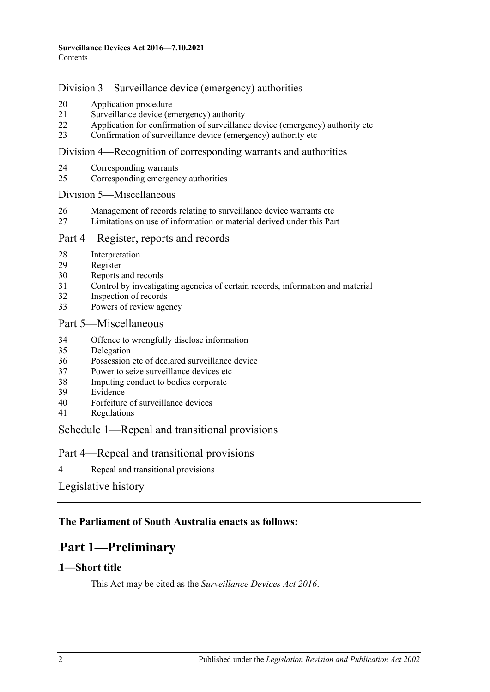#### Division [3—Surveillance device \(emergency\) authorities](#page-23-0)

- [Application procedure](#page-23-1)
- [Surveillance device \(emergency\) authority](#page-24-0)
- [Application for confirmation of surveillance device \(emergency\) authority etc](#page-26-0)
- [Confirmation of surveillance device](#page-27-0) (emergency) authority etc

#### Division [4—Recognition of corresponding warrants and authorities](#page-27-1)

- [Corresponding warrants](#page-27-2)
- [Corresponding emergency authorities](#page-27-3)

#### Division [5—Miscellaneous](#page-28-0)

- [Management of records relating to surveillance device warrants etc](#page-28-1)
- [Limitations on use of information or material derived under this Part](#page-28-2)

#### Part [4—Register, reports and records](#page-29-0)

- [Interpretation](#page-29-1)
- [Register](#page-29-2)
- [Reports and records](#page-31-0)
- [Control by investigating agencies of certain records, information and material](#page-34-0)
- [Inspection of records](#page-34-1)
- [Powers of review agency](#page-35-0)

#### Part [5—Miscellaneous](#page-36-0)

- [Offence to wrongfully disclose information](#page-36-1)
- [Delegation](#page-36-2)
- [Possession etc of declared surveillance device](#page-37-0)
- [Power to seize surveillance devices etc](#page-38-0)
- [Imputing conduct to bodies corporate](#page-38-1)
- [Evidence](#page-39-0)
- [Forfeiture of surveillance devices](#page-39-1)
- [Regulations](#page-39-2)

#### Schedule [1—Repeal and transitional provisions](#page-39-3)

#### Part 4—Repeal and transitional provisions

[Repeal and transitional provisions](#page-39-4)

#### [Legislative history](#page-41-0)

## <span id="page-1-0"></span>**The Parliament of South Australia enacts as follows:**

## 49B**Part 1—Preliminary**

#### <span id="page-1-1"></span>1-Short title

This Act may be cited as the *Surveillance Devices Act 2016*.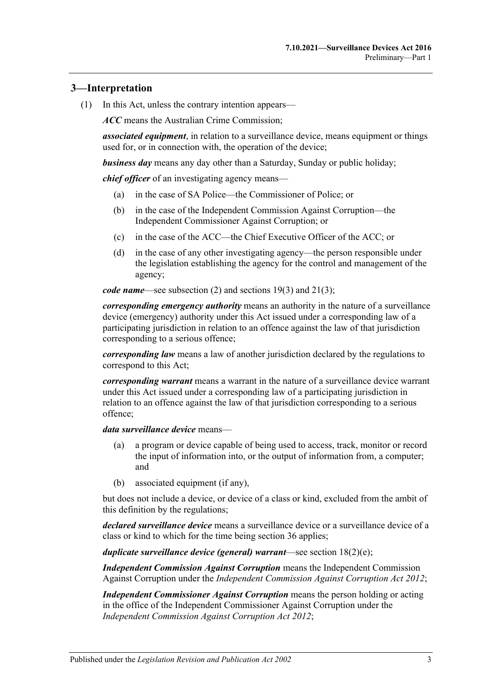### <span id="page-2-0"></span>1B**3—Interpretation**

(1) In this Act, unless the contrary intention appears—

*ACC* means the Australian Crime Commission;

*associated equipment*, in relation to a surveillance device, means equipment or things used for, or in connection with, the operation of the device;

*business day* means any day other than a Saturday, Sunday or public holiday;

*chief officer* of an investigating agency means—

- (a) in the case of SA Police—the Commissioner of Police; or
- (b) in the case of the Independent Commission Against Corruption—the Independent Commissioner Against Corruption; or
- (c) in the case of the ACC—the Chief Executive Officer of the ACC; or
- (d) in the case of any other investigating agency—the person responsible under the legislation establishing the agency for the control and management of the agency;

*code name*—see [subsection](#page-7-0) (2) and [sections](#page-22-0) 19(3) and [21\(3\);](#page-25-0)

*corresponding emergency authority* means an authority in the nature of a surveillance device (emergency) authority under this Act issued under a corresponding law of a participating jurisdiction in relation to an offence against the law of that jurisdiction corresponding to a serious offence;

*corresponding law* means a law of another jurisdiction declared by the regulations to correspond to this Act;

*corresponding warrant* means a warrant in the nature of a surveillance device warrant under this Act issued under a corresponding law of a participating jurisdiction in relation to an offence against the law of that jurisdiction corresponding to a serious offence;

#### *data surveillance device* means—

- (a) a program or device capable of being used to access, track, monitor or record the input of information into, or the output of information from, a computer; and
- (b) associated equipment (if any),

but does not include a device, or device of a class or kind, excluded from the ambit of this definition by the regulations;

*declared surveillance device* means a surveillance device or a surveillance device of a class or kind to which for the time being [section](#page-37-0) 36 applies;

*duplicate surveillance device (general) warrant*—see section [18\(2\)\(e\);](#page-20-0)

*Independent Commission Against Corruption* means the Independent Commission Against Corruption under the *[Independent Commission Against Corruption Act](http://www.legislation.sa.gov.au/index.aspx?action=legref&type=act&legtitle=Independent%20Commission%20Against%20Corruption%20Act%202012) 2012*;

*Independent Commissioner Against Corruption* means the person holding or acting in the office of the Independent Commissioner Against Corruption under the *[Independent Commission Against Corruption Act](http://www.legislation.sa.gov.au/index.aspx?action=legref&type=act&legtitle=Independent%20Commission%20Against%20Corruption%20Act%202012) 2012*;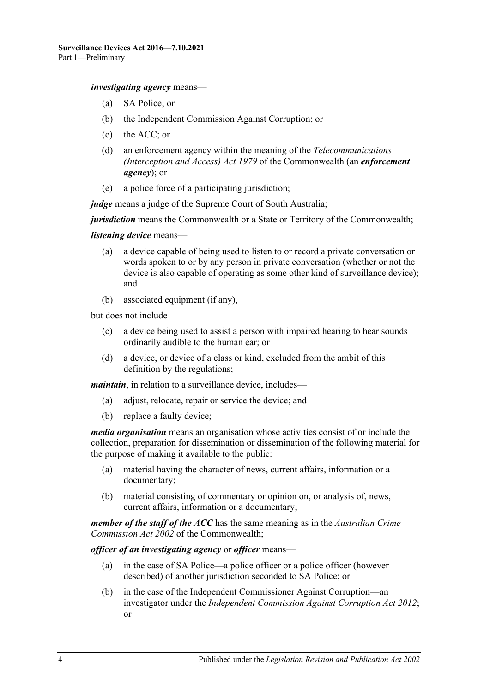*investigating agency* means—

- (a) SA Police; or
- (b) the Independent Commission Against Corruption; or
- (c) the ACC; or
- (d) an enforcement agency within the meaning of the *Telecommunications (Interception and Access) Act 1979* of the Commonwealth (an *enforcement agency*); or
- (e) a police force of a participating jurisdiction;

*judge* means a judge of the Supreme Court of South Australia;

*jurisdiction* means the Commonwealth or a State or Territory of the Commonwealth;

#### *listening device* means—

- (a) a device capable of being used to listen to or record a private conversation or words spoken to or by any person in private conversation (whether or not the device is also capable of operating as some other kind of surveillance device); and
- (b) associated equipment (if any),

but does not include—

- (c) a device being used to assist a person with impaired hearing to hear sounds ordinarily audible to the human ear; or
- (d) a device, or device of a class or kind, excluded from the ambit of this definition by the regulations;

*maintain*, in relation to a surveillance device, includes—

- (a) adjust, relocate, repair or service the device; and
- (b) replace a faulty device;

*media organisation* means an organisation whose activities consist of or include the collection, preparation for dissemination or dissemination of the following material for the purpose of making it available to the public:

- (a) material having the character of news, current affairs, information or a documentary;
- (b) material consisting of commentary or opinion on, or analysis of, news, current affairs, information or a documentary;

*member of the staff of the ACC* has the same meaning as in the *Australian Crime Commission Act 2002* of the Commonwealth;

*officer of an investigating agency* or *officer* means—

- (a) in the case of SA Police—a police officer or a police officer (however described) of another jurisdiction seconded to SA Police; or
- (b) in the case of the Independent Commissioner Against Corruption—an investigator under the *[Independent Commission Against Corruption Act](http://www.legislation.sa.gov.au/index.aspx?action=legref&type=act&legtitle=Independent%20Commission%20Against%20Corruption%20Act%202012) 2012*; or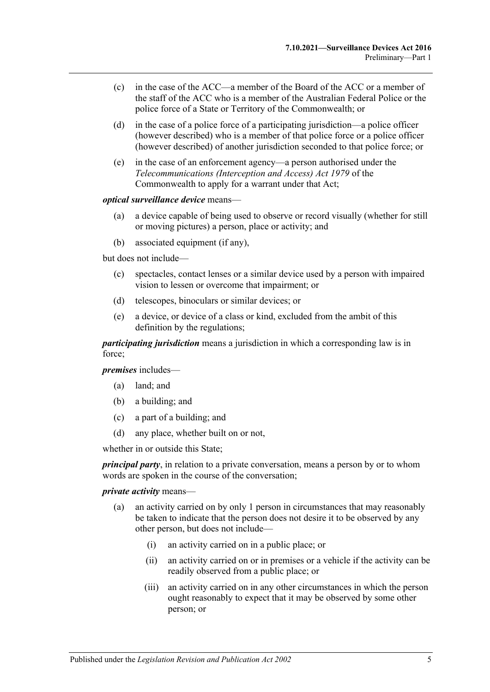- (c) in the case of the ACC—a member of the Board of the ACC or a member of the staff of the ACC who is a member of the Australian Federal Police or the police force of a State or Territory of the Commonwealth; or
- (d) in the case of a police force of a participating jurisdiction—a police officer (however described) who is a member of that police force or a police officer (however described) of another jurisdiction seconded to that police force; or
- (e) in the case of an enforcement agency—a person authorised under the *Telecommunications (Interception and Access) Act 1979* of the Commonwealth to apply for a warrant under that Act;

#### *optical surveillance device* means—

- (a) a device capable of being used to observe or record visually (whether for still or moving pictures) a person, place or activity; and
- (b) associated equipment (if any),

but does not include—

- (c) spectacles, contact lenses or a similar device used by a person with impaired vision to lessen or overcome that impairment; or
- (d) telescopes, binoculars or similar devices; or
- (e) a device, or device of a class or kind, excluded from the ambit of this definition by the regulations;

*participating jurisdiction* means a jurisdiction in which a corresponding law is in force;

*premises* includes—

- (a) land; and
- (b) a building; and
- (c) a part of a building; and
- (d) any place, whether built on or not,

whether in or outside this State;

*principal party*, in relation to a private conversation, means a person by or to whom words are spoken in the course of the conversation;

#### *private activity* means—

- (a) an activity carried on by only 1 person in circumstances that may reasonably be taken to indicate that the person does not desire it to be observed by any other person, but does not include—
	- (i) an activity carried on in a public place; or
	- (ii) an activity carried on or in premises or a vehicle if the activity can be readily observed from a public place; or
	- (iii) an activity carried on in any other circumstances in which the person ought reasonably to expect that it may be observed by some other person; or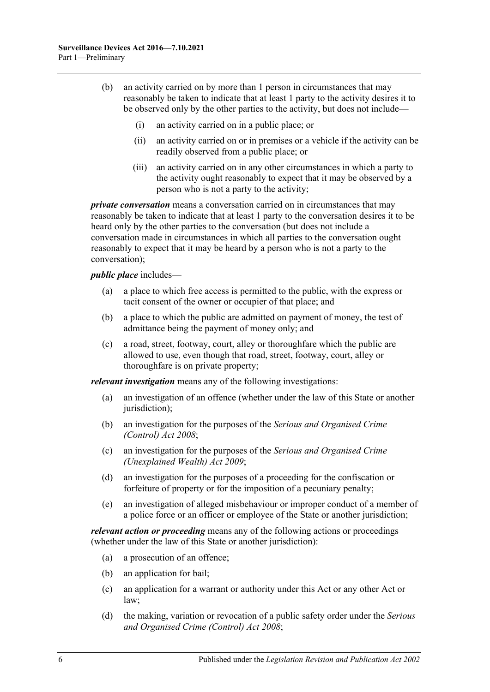- (b) an activity carried on by more than 1 person in circumstances that may reasonably be taken to indicate that at least 1 party to the activity desires it to be observed only by the other parties to the activity, but does not include—
	- (i) an activity carried on in a public place; or
	- (ii) an activity carried on or in premises or a vehicle if the activity can be readily observed from a public place; or
	- (iii) an activity carried on in any other circumstances in which a party to the activity ought reasonably to expect that it may be observed by a person who is not a party to the activity;

*private conversation* means a conversation carried on in circumstances that may reasonably be taken to indicate that at least 1 party to the conversation desires it to be heard only by the other parties to the conversation (but does not include a conversation made in circumstances in which all parties to the conversation ought reasonably to expect that it may be heard by a person who is not a party to the conversation);

#### *public place* includes—

- (a) a place to which free access is permitted to the public, with the express or tacit consent of the owner or occupier of that place; and
- (b) a place to which the public are admitted on payment of money, the test of admittance being the payment of money only; and
- (c) a road, street, footway, court, alley or thoroughfare which the public are allowed to use, even though that road, street, footway, court, alley or thoroughfare is on private property;

*relevant investigation* means any of the following investigations:

- (a) an investigation of an offence (whether under the law of this State or another jurisdiction);
- (b) an investigation for the purposes of the *[Serious and Organised Crime](http://www.legislation.sa.gov.au/index.aspx?action=legref&type=act&legtitle=Serious%20and%20Organised%20Crime%20(Control)%20Act%202008)  [\(Control\) Act](http://www.legislation.sa.gov.au/index.aspx?action=legref&type=act&legtitle=Serious%20and%20Organised%20Crime%20(Control)%20Act%202008) 2008*;
- (c) an investigation for the purposes of the *[Serious and Organised Crime](http://www.legislation.sa.gov.au/index.aspx?action=legref&type=act&legtitle=Serious%20and%20Organised%20Crime%20(Unexplained%20Wealth)%20Act%202009)  [\(Unexplained Wealth\) Act](http://www.legislation.sa.gov.au/index.aspx?action=legref&type=act&legtitle=Serious%20and%20Organised%20Crime%20(Unexplained%20Wealth)%20Act%202009) 2009*;
- (d) an investigation for the purposes of a proceeding for the confiscation or forfeiture of property or for the imposition of a pecuniary penalty;
- (e) an investigation of alleged misbehaviour or improper conduct of a member of a police force or an officer or employee of the State or another jurisdiction;

*relevant action or proceeding* means any of the following actions or proceedings (whether under the law of this State or another jurisdiction):

- (a) a prosecution of an offence;
- (b) an application for bail;
- (c) an application for a warrant or authority under this Act or any other Act or law;
- (d) the making, variation or revocation of a public safety order under the *[Serious](http://www.legislation.sa.gov.au/index.aspx?action=legref&type=act&legtitle=Serious%20and%20Organised%20Crime%20(Control)%20Act%202008)  [and Organised Crime \(Control\) Act](http://www.legislation.sa.gov.au/index.aspx?action=legref&type=act&legtitle=Serious%20and%20Organised%20Crime%20(Control)%20Act%202008) 2008*;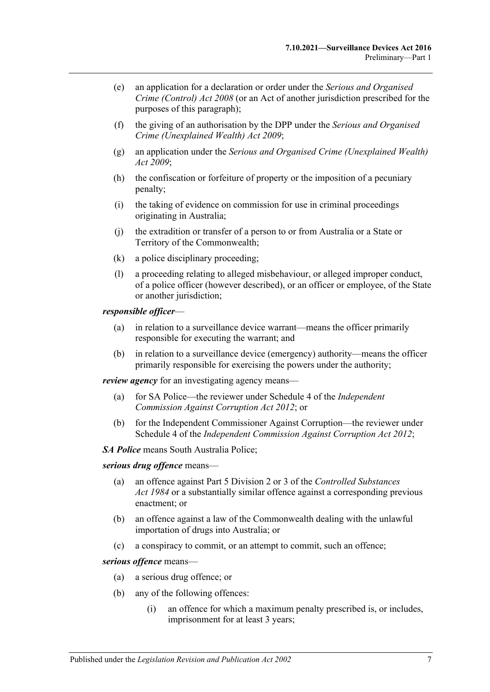- (e) an application for a declaration or order under the *[Serious and Organised](http://www.legislation.sa.gov.au/index.aspx?action=legref&type=act&legtitle=Serious%20and%20Organised%20Crime%20(Control)%20Act%202008)  [Crime \(Control\) Act](http://www.legislation.sa.gov.au/index.aspx?action=legref&type=act&legtitle=Serious%20and%20Organised%20Crime%20(Control)%20Act%202008) 2008* (or an Act of another jurisdiction prescribed for the purposes of this paragraph);
- (f) the giving of an authorisation by the DPP under the *[Serious and Organised](http://www.legislation.sa.gov.au/index.aspx?action=legref&type=act&legtitle=Serious%20and%20Organised%20Crime%20(Unexplained%20Wealth)%20Act%202009)  [Crime \(Unexplained Wealth\) Act](http://www.legislation.sa.gov.au/index.aspx?action=legref&type=act&legtitle=Serious%20and%20Organised%20Crime%20(Unexplained%20Wealth)%20Act%202009) 2009*;
- (g) an application under the *[Serious and Organised Crime \(Unexplained Wealth\)](http://www.legislation.sa.gov.au/index.aspx?action=legref&type=act&legtitle=Serious%20and%20Organised%20Crime%20(Unexplained%20Wealth)%20Act%202009)  Act [2009](http://www.legislation.sa.gov.au/index.aspx?action=legref&type=act&legtitle=Serious%20and%20Organised%20Crime%20(Unexplained%20Wealth)%20Act%202009)*;
- (h) the confiscation or forfeiture of property or the imposition of a pecuniary penalty;
- (i) the taking of evidence on commission for use in criminal proceedings originating in Australia;
- (j) the extradition or transfer of a person to or from Australia or a State or Territory of the Commonwealth;
- (k) a police disciplinary proceeding;
- (l) a proceeding relating to alleged misbehaviour, or alleged improper conduct, of a police officer (however described), or an officer or employee, of the State or another jurisdiction;

#### *responsible officer*—

- (a) in relation to a surveillance device warrant—means the officer primarily responsible for executing the warrant; and
- (b) in relation to a surveillance device (emergency) authority—means the officer primarily responsible for exercising the powers under the authority;

*review agency* for an investigating agency means—

- (a) for SA Police—the reviewer under Schedule 4 of the *[Independent](http://www.legislation.sa.gov.au/index.aspx?action=legref&type=act&legtitle=Independent%20Commission%20Against%20Corruption%20Act%202012)  [Commission Against Corruption Act](http://www.legislation.sa.gov.au/index.aspx?action=legref&type=act&legtitle=Independent%20Commission%20Against%20Corruption%20Act%202012) 2012*; or
- (b) for the Independent Commissioner Against Corruption—the reviewer under Schedule 4 of the *[Independent Commission Against Corruption Act](http://www.legislation.sa.gov.au/index.aspx?action=legref&type=act&legtitle=Independent%20Commission%20Against%20Corruption%20Act%202012) 2012*;

*SA Police* means South Australia Police;

*serious drug offence* means—

- (a) an offence against Part 5 Division 2 or 3 of the *[Controlled Substances](http://www.legislation.sa.gov.au/index.aspx?action=legref&type=act&legtitle=Controlled%20Substances%20Act%201984)  Act [1984](http://www.legislation.sa.gov.au/index.aspx?action=legref&type=act&legtitle=Controlled%20Substances%20Act%201984)* or a substantially similar offence against a corresponding previous enactment; or
- (b) an offence against a law of the Commonwealth dealing with the unlawful importation of drugs into Australia; or
- (c) a conspiracy to commit, or an attempt to commit, such an offence;

*serious offence* means—

- (a) a serious drug offence; or
- (b) any of the following offences:
	- (i) an offence for which a maximum penalty prescribed is, or includes, imprisonment for at least 3 years;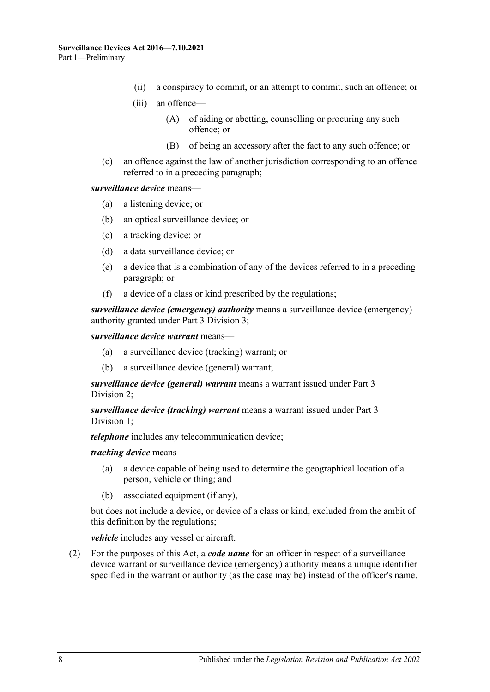- (ii) a conspiracy to commit, or an attempt to commit, such an offence; or
- (iii) an offence—
	- (A) of aiding or abetting, counselling or procuring any such offence; or
	- (B) of being an accessory after the fact to any such offence; or
- (c) an offence against the law of another jurisdiction corresponding to an offence referred to in a preceding paragraph;

#### *surveillance device* means—

- (a) a listening device; or
- (b) an optical surveillance device; or
- (c) a tracking device; or
- (d) a data surveillance device; or
- (e) a device that is a combination of any of the devices referred to in a preceding paragraph; or
- (f) a device of a class or kind prescribed by the regulations;

*surveillance device (emergency) authority* means a surveillance device (emergency) authority granted under Part [3 Division](#page-23-0) 3;

*surveillance device warrant* means—

- (a) a surveillance device (tracking) warrant; or
- (b) a surveillance device (general) warrant;

*surveillance device (general) warrant* means a warrant issued under [Part](#page-18-0) 3 [Division](#page-18-0) 2;

*surveillance device (tracking) warrant* means a warrant issued under [Part](#page-15-2) 3 [Division](#page-15-2) 1;

*telephone* includes any telecommunication device;

#### *tracking device* means—

- (a) a device capable of being used to determine the geographical location of a person, vehicle or thing; and
- (b) associated equipment (if any),

but does not include a device, or device of a class or kind, excluded from the ambit of this definition by the regulations;

*vehicle* includes any vessel or aircraft.

<span id="page-7-0"></span>(2) For the purposes of this Act, a *code name* for an officer in respect of a surveillance device warrant or surveillance device (emergency) authority means a unique identifier specified in the warrant or authority (as the case may be) instead of the officer's name.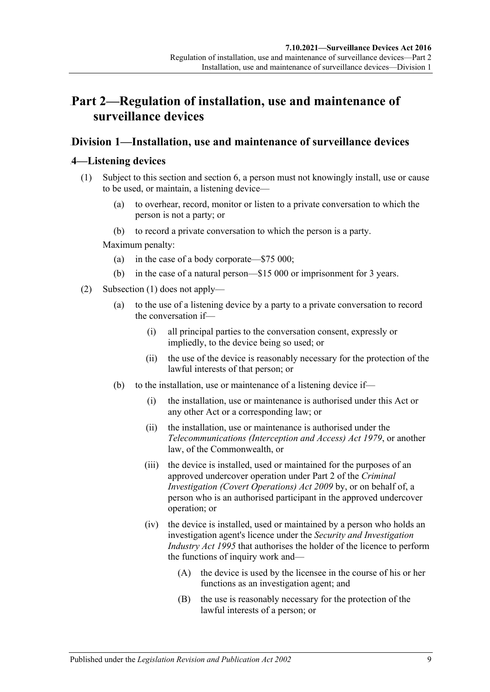## <span id="page-8-0"></span>50B**Part 2—Regulation of installation, use and maintenance of surveillance devices**

## <span id="page-8-1"></span>41B**Division 1—Installation, use and maintenance of surveillance devices**

### <span id="page-8-3"></span><span id="page-8-2"></span>16B**4—Listening devices**

- (1) Subject to this section and [section](#page-11-0) 6, a person must not knowingly install, use or cause to be used, or maintain, a listening device—
	- (a) to overhear, record, monitor or listen to a private conversation to which the person is not a party; or
	- (b) to record a private conversation to which the person is a party.

Maximum penalty:

- (a) in the case of a body corporate—\$75 000;
- (b) in the case of a natural person—\$15 000 or imprisonment for 3 years.
- <span id="page-8-6"></span><span id="page-8-5"></span><span id="page-8-4"></span>(2) [Subsection](#page-8-3) (1) does not apply—
	- (a) to the use of a listening device by a party to a private conversation to record the conversation if—
		- (i) all principal parties to the conversation consent, expressly or impliedly, to the device being so used; or
		- (ii) the use of the device is reasonably necessary for the protection of the lawful interests of that person; or
	- (b) to the installation, use or maintenance of a listening device if—
		- (i) the installation, use or maintenance is authorised under this Act or any other Act or a corresponding law; or
		- (ii) the installation, use or maintenance is authorised under the *Telecommunications (Interception and Access) Act 1979*, or another law, of the Commonwealth, or
		- (iii) the device is installed, used or maintained for the purposes of an approved undercover operation under Part 2 of the *[Criminal](http://www.legislation.sa.gov.au/index.aspx?action=legref&type=act&legtitle=Criminal%20Investigation%20(Covert%20Operations)%20Act%202009)  [Investigation \(Covert Operations\) Act](http://www.legislation.sa.gov.au/index.aspx?action=legref&type=act&legtitle=Criminal%20Investigation%20(Covert%20Operations)%20Act%202009) 2009* by, or on behalf of, a person who is an authorised participant in the approved undercover operation; or
		- (iv) the device is installed, used or maintained by a person who holds an investigation agent's licence under the *[Security and Investigation](http://www.legislation.sa.gov.au/index.aspx?action=legref&type=act&legtitle=Security%20and%20Investigation%20Industry%20Act%201995)  [Industry Act](http://www.legislation.sa.gov.au/index.aspx?action=legref&type=act&legtitle=Security%20and%20Investigation%20Industry%20Act%201995) 1995* that authorises the holder of the licence to perform the functions of inquiry work and—
			- (A) the device is used by the licensee in the course of his or her functions as an investigation agent; and
			- (B) the use is reasonably necessary for the protection of the lawful interests of a person; or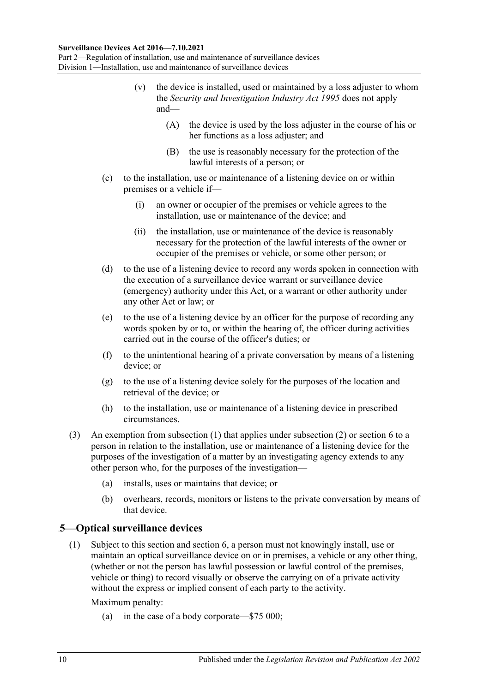#### **Surveillance Devices Act 2016—7.10.2021**

<span id="page-9-2"></span>Part 2—Regulation of installation, use and maintenance of surveillance devices Division 1—Installation, use and maintenance of surveillance devices

- (v) the device is installed, used or maintained by a loss adjuster to whom the *[Security and Investigation Industry Act](http://www.legislation.sa.gov.au/index.aspx?action=legref&type=act&legtitle=Security%20and%20Investigation%20Industry%20Act%201995) 1995* does not apply and—
	- (A) the device is used by the loss adjuster in the course of his or her functions as a loss adjuster; and
	- (B) the use is reasonably necessary for the protection of the lawful interests of a person; or
- (c) to the installation, use or maintenance of a listening device on or within premises or a vehicle if—
	- (i) an owner or occupier of the premises or vehicle agrees to the installation, use or maintenance of the device; and
	- (ii) the installation, use or maintenance of the device is reasonably necessary for the protection of the lawful interests of the owner or occupier of the premises or vehicle, or some other person; or
- (d) to the use of a listening device to record any words spoken in connection with the execution of a surveillance device warrant or surveillance device (emergency) authority under this Act, or a warrant or other authority under any other Act or law; or
- (e) to the use of a listening device by an officer for the purpose of recording any words spoken by or to, or within the hearing of, the officer during activities carried out in the course of the officer's duties; or
- (f) to the unintentional hearing of a private conversation by means of a listening device; or
- (g) to the use of a listening device solely for the purposes of the location and retrieval of the device; or
- (h) to the installation, use or maintenance of a listening device in prescribed circumstances.
- (3) An exemption from [subsection](#page-8-3) (1) that applies under [subsection](#page-8-4) (2) or [section](#page-11-0) 6 to a person in relation to the installation, use or maintenance of a listening device for the purposes of the investigation of a matter by an investigating agency extends to any other person who, for the purposes of the investigation—
	- (a) installs, uses or maintains that device; or
	- (b) overhears, records, monitors or listens to the private conversation by means of that device.

#### <span id="page-9-1"></span><span id="page-9-0"></span>17B**5—Optical surveillance devices**

(1) Subject to this section and [section](#page-11-0) 6, a person must not knowingly install, use or maintain an optical surveillance device on or in premises, a vehicle or any other thing, (whether or not the person has lawful possession or lawful control of the premises, vehicle or thing) to record visually or observe the carrying on of a private activity without the express or implied consent of each party to the activity.

Maximum penalty:

(a) in the case of a body corporate—\$75 000;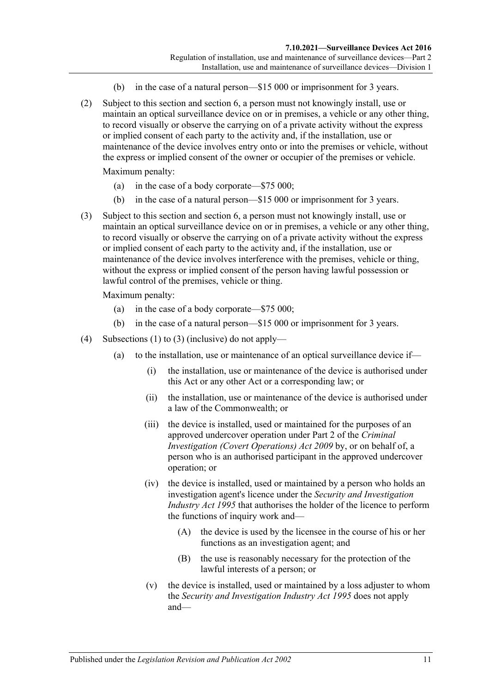- (b) in the case of a natural person—\$15 000 or imprisonment for 3 years.
- (2) Subject to this section and [section](#page-11-0) 6, a person must not knowingly install, use or maintain an optical surveillance device on or in premises, a vehicle or any other thing, to record visually or observe the carrying on of a private activity without the express or implied consent of each party to the activity and, if the installation, use or maintenance of the device involves entry onto or into the premises or vehicle, without the express or implied consent of the owner or occupier of the premises or vehicle.

Maximum penalty:

- (a) in the case of a body corporate—\$75 000;
- (b) in the case of a natural person—\$15 000 or imprisonment for 3 years.
- <span id="page-10-0"></span>(3) Subject to this section and [section](#page-11-0) 6, a person must not knowingly install, use or maintain an optical surveillance device on or in premises, a vehicle or any other thing, to record visually or observe the carrying on of a private activity without the express or implied consent of each party to the activity and, if the installation, use or maintenance of the device involves interference with the premises, vehicle or thing, without the express or implied consent of the person having lawful possession or lawful control of the premises, vehicle or thing.

Maximum penalty:

- (a) in the case of a body corporate—\$75 000;
- (b) in the case of a natural person—\$15 000 or imprisonment for 3 years.
- <span id="page-10-3"></span><span id="page-10-2"></span><span id="page-10-1"></span>(4) [Subsections \(1\)](#page-9-1) to [\(3\)](#page-10-0) (inclusive) do not apply—
	- (a) to the installation, use or maintenance of an optical surveillance device if—
		- (i) the installation, use or maintenance of the device is authorised under this Act or any other Act or a corresponding law; or
		- (ii) the installation, use or maintenance of the device is authorised under a law of the Commonwealth; or
		- (iii) the device is installed, used or maintained for the purposes of an approved undercover operation under Part 2 of the *[Criminal](http://www.legislation.sa.gov.au/index.aspx?action=legref&type=act&legtitle=Criminal%20Investigation%20(Covert%20Operations)%20Act%202009)  [Investigation \(Covert Operations\) Act](http://www.legislation.sa.gov.au/index.aspx?action=legref&type=act&legtitle=Criminal%20Investigation%20(Covert%20Operations)%20Act%202009) 2009* by, or on behalf of, a person who is an authorised participant in the approved undercover operation; or
		- (iv) the device is installed, used or maintained by a person who holds an investigation agent's licence under the *[Security and Investigation](http://www.legislation.sa.gov.au/index.aspx?action=legref&type=act&legtitle=Security%20and%20Investigation%20Industry%20Act%201995)  [Industry Act](http://www.legislation.sa.gov.au/index.aspx?action=legref&type=act&legtitle=Security%20and%20Investigation%20Industry%20Act%201995) 1995* that authorises the holder of the licence to perform the functions of inquiry work and—
			- (A) the device is used by the licensee in the course of his or her functions as an investigation agent; and
			- (B) the use is reasonably necessary for the protection of the lawful interests of a person; or
		- (v) the device is installed, used or maintained by a loss adjuster to whom the *[Security and Investigation Industry Act](http://www.legislation.sa.gov.au/index.aspx?action=legref&type=act&legtitle=Security%20and%20Investigation%20Industry%20Act%201995) 1995* does not apply and—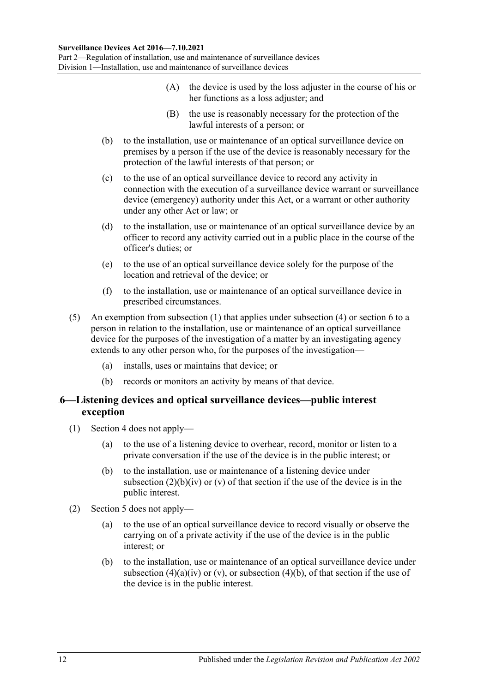Part 2—Regulation of installation, use and maintenance of surveillance devices Division 1—Installation, use and maintenance of surveillance devices

- (A) the device is used by the loss adjuster in the course of his or her functions as a loss adjuster; and
- (B) the use is reasonably necessary for the protection of the lawful interests of a person; or
- <span id="page-11-1"></span>(b) to the installation, use or maintenance of an optical surveillance device on premises by a person if the use of the device is reasonably necessary for the protection of the lawful interests of that person; or
- (c) to the use of an optical surveillance device to record any activity in connection with the execution of a surveillance device warrant or surveillance device (emergency) authority under this Act, or a warrant or other authority under any other Act or law; or
- (d) to the installation, use or maintenance of an optical surveillance device by an officer to record any activity carried out in a public place in the course of the officer's duties; or
- (e) to the use of an optical surveillance device solely for the purpose of the location and retrieval of the device; or
- (f) to the installation, use or maintenance of an optical surveillance device in prescribed circumstances.
- (5) An exemption from [subsection](#page-9-1) (1) that applies under [subsection](#page-10-1) (4) or [section](#page-11-0) 6 to a person in relation to the installation, use or maintenance of an optical surveillance device for the purposes of the investigation of a matter by an investigating agency extends to any other person who, for the purposes of the investigation—
	- (a) installs, uses or maintains that device; or
	- (b) records or monitors an activity by means of that device.

#### <span id="page-11-0"></span>18B**6—Listening devices and optical surveillance devices—public interest exception**

- (1) [Section 4](#page-8-2) does not apply—
	- (a) to the use of a listening device to overhear, record, monitor or listen to a private conversation if the use of the device is in the public interest; or
	- (b) to the installation, use or maintenance of a listening device under [subsection](#page-8-5)  $(2)(b)(iv)$  or  $(v)$  of that section if the use of the device is in the public interest.
- (2) [Section 5](#page-9-0) does not apply—
	- (a) to the use of an optical surveillance device to record visually or observe the carrying on of a private activity if the use of the device is in the public interest; or
	- (b) to the installation, use or maintenance of an optical surveillance device under [subsection](#page-10-2) (4)(a)(iv) or [\(v\),](#page-10-3) or [subsection](#page-11-1) (4)(b), of that section if the use of the device is in the public interest.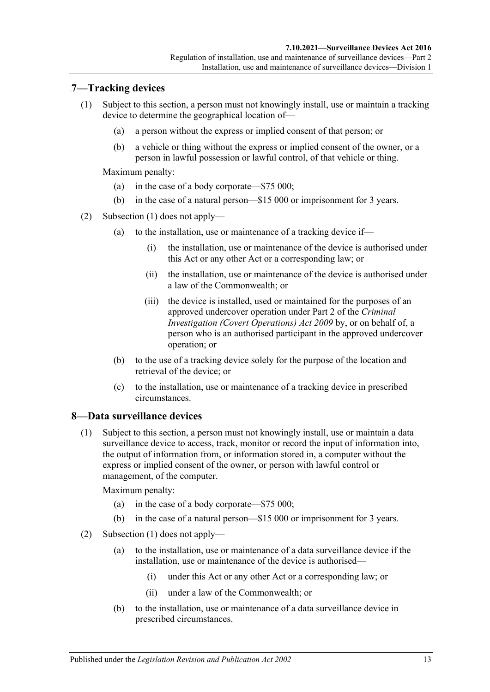### <span id="page-12-2"></span><span id="page-12-0"></span>19B**7—Tracking devices**

- (1) Subject to this section, a person must not knowingly install, use or maintain a tracking device to determine the geographical location of—
	- (a) a person without the express or implied consent of that person; or
	- (b) a vehicle or thing without the express or implied consent of the owner, or a person in lawful possession or lawful control, of that vehicle or thing.

Maximum penalty:

- (a) in the case of a body corporate—\$75 000;
- (b) in the case of a natural person—\$15 000 or imprisonment for 3 years.
- (2) [Subsection \(1\)](#page-12-2) does not apply—
	- (a) to the installation, use or maintenance of a tracking device if—
		- (i) the installation, use or maintenance of the device is authorised under this Act or any other Act or a corresponding law; or
		- (ii) the installation, use or maintenance of the device is authorised under a law of the Commonwealth; or
		- (iii) the device is installed, used or maintained for the purposes of an approved undercover operation under Part 2 of the *[Criminal](http://www.legislation.sa.gov.au/index.aspx?action=legref&type=act&legtitle=Criminal%20Investigation%20(Covert%20Operations)%20Act%202009)  [Investigation \(Covert Operations\) Act](http://www.legislation.sa.gov.au/index.aspx?action=legref&type=act&legtitle=Criminal%20Investigation%20(Covert%20Operations)%20Act%202009) 2009* by, or on behalf of, a person who is an authorised participant in the approved undercover operation; or
	- (b) to the use of a tracking device solely for the purpose of the location and retrieval of the device; or
	- (c) to the installation, use or maintenance of a tracking device in prescribed circumstances.

#### <span id="page-12-3"></span><span id="page-12-1"></span>20B**8—Data surveillance devices**

(1) Subject to this section, a person must not knowingly install, use or maintain a data surveillance device to access, track, monitor or record the input of information into, the output of information from, or information stored in, a computer without the express or implied consent of the owner, or person with lawful control or management, of the computer.

Maximum penalty:

- (a) in the case of a body corporate—\$75 000;
- (b) in the case of a natural person—\$15 000 or imprisonment for 3 years.
- (2) [Subsection \(1\)](#page-12-3) does not apply—
	- (a) to the installation, use or maintenance of a data surveillance device if the installation, use or maintenance of the device is authorised—
		- (i) under this Act or any other Act or a corresponding law; or
		- (ii) under a law of the Commonwealth; or
	- (b) to the installation, use or maintenance of a data surveillance device in prescribed circumstances.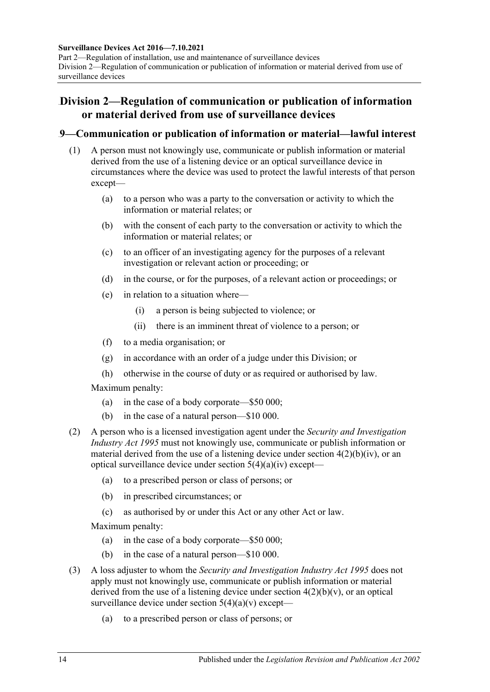#### **Surveillance Devices Act 2016—7.10.2021**

Part 2—Regulation of installation, use and maintenance of surveillance devices Division 2—Regulation of communication or publication of information or material derived from use of surveillance devices

## <span id="page-13-0"></span>42B**Division 2—Regulation of communication or publication of information or material derived from use of surveillance devices**

#### <span id="page-13-1"></span>21B**9—Communication or publication of information or material—lawful interest**

- (1) A person must not knowingly use, communicate or publish information or material derived from the use of a listening device or an optical surveillance device in circumstances where the device was used to protect the lawful interests of that person except—
	- (a) to a person who was a party to the conversation or activity to which the information or material relates; or
	- (b) with the consent of each party to the conversation or activity to which the information or material relates; or
	- (c) to an officer of an investigating agency for the purposes of a relevant investigation or relevant action or proceeding; or
	- (d) in the course, or for the purposes, of a relevant action or proceedings; or
	- (e) in relation to a situation where—
		- (i) a person is being subjected to violence; or
		- (ii) there is an imminent threat of violence to a person; or
	- (f) to a media organisation; or
	- (g) in accordance with an order of a judge under this Division; or
	- (h) otherwise in the course of duty or as required or authorised by law.

Maximum penalty:

- (a) in the case of a body corporate—\$50 000;
- (b) in the case of a natural person—\$10 000.
- (2) A person who is a licensed investigation agent under the *[Security and Investigation](http://www.legislation.sa.gov.au/index.aspx?action=legref&type=act&legtitle=Security%20and%20Investigation%20Industry%20Act%201995)  [Industry Act](http://www.legislation.sa.gov.au/index.aspx?action=legref&type=act&legtitle=Security%20and%20Investigation%20Industry%20Act%201995) 1995* must not knowingly use, communicate or publish information or material derived from the use of a listening device under section  $4(2)(b)(iv)$ , or an optical surveillance device under section [5\(4\)\(a\)\(iv\)](#page-10-2) except—
	- (a) to a prescribed person or class of persons; or
	- (b) in prescribed circumstances; or
	- (c) as authorised by or under this Act or any other Act or law.

Maximum penalty:

- (a) in the case of a body corporate—\$50 000;
- (b) in the case of a natural person—\$10 000.
- (3) A loss adjuster to whom the *[Security and Investigation Industry Act](http://www.legislation.sa.gov.au/index.aspx?action=legref&type=act&legtitle=Security%20and%20Investigation%20Industry%20Act%201995) 1995* does not apply must not knowingly use, communicate or publish information or material derived from the use of a listening device under section  $4(2)(b)(v)$ , or an optical surveillance device under section  $5(4)(a)(v)$  except—
	- (a) to a prescribed person or class of persons; or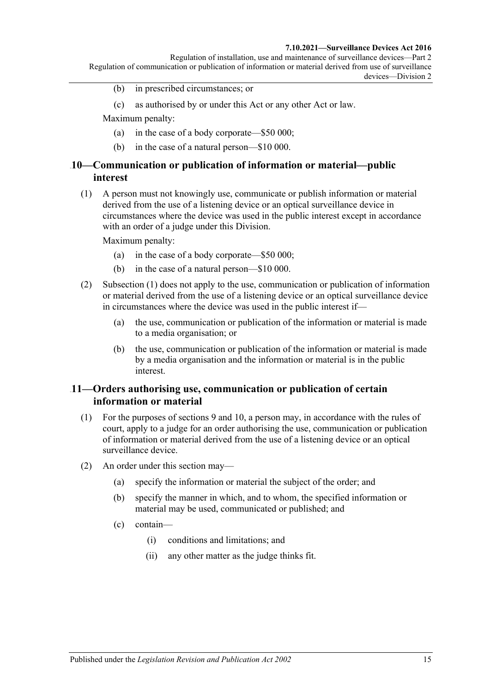#### **7.10.2021—Surveillance Devices Act 2016**

- (b) in prescribed circumstances; or
- (c) as authorised by or under this Act or any other Act or law.

Maximum penalty:

- (a) in the case of a body corporate—\$50 000;
- (b) in the case of a natural person—\$10 000.

#### <span id="page-14-0"></span>22B**10—Communication or publication of information or material—public interest**

<span id="page-14-2"></span>(1) A person must not knowingly use, communicate or publish information or material derived from the use of a listening device or an optical surveillance device in circumstances where the device was used in the public interest except in accordance with an order of a judge under this Division.

Maximum penalty:

- (a) in the case of a body corporate—\$50 000;
- (b) in the case of a natural person—\$10 000.
- (2) [Subsection \(1\)](#page-14-2) does not apply to the use, communication or publication of information or material derived from the use of a listening device or an optical surveillance device in circumstances where the device was used in the public interest if—
	- (a) the use, communication or publication of the information or material is made to a media organisation; or
	- (b) the use, communication or publication of the information or material is made by a media organisation and the information or material is in the public interest.

#### <span id="page-14-1"></span>23B**11—Orders authorising use, communication or publication of certain information or material**

- (1) For the purposes of [sections](#page-13-1) 9 and [10,](#page-14-0) a person may, in accordance with the rules of court, apply to a judge for an order authorising the use, communication or publication of information or material derived from the use of a listening device or an optical surveillance device.
- (2) An order under this section may—
	- (a) specify the information or material the subject of the order; and
	- (b) specify the manner in which, and to whom, the specified information or material may be used, communicated or published; and
	- (c) contain—
		- (i) conditions and limitations; and
		- (ii) any other matter as the judge thinks fit.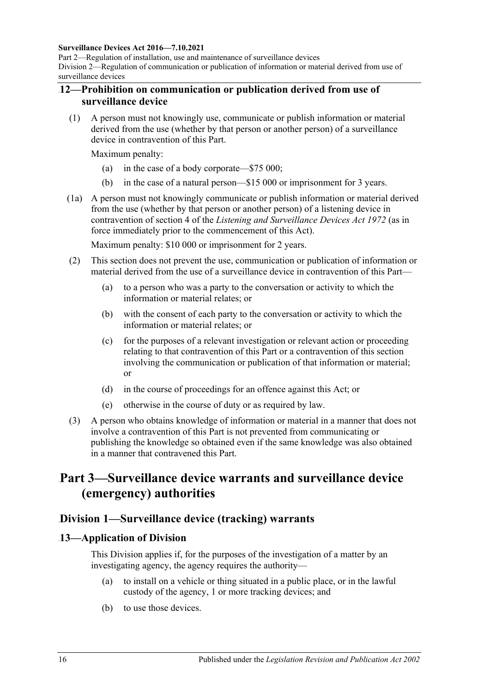#### **Surveillance Devices Act 2016—7.10.2021**

Part 2—Regulation of installation, use and maintenance of surveillance devices Division 2—Regulation of communication or publication of information or material derived from use of surveillance devices

#### <span id="page-15-0"></span>24B**12—Prohibition on communication or publication derived from use of surveillance device**

(1) A person must not knowingly use, communicate or publish information or material derived from the use (whether by that person or another person) of a surveillance device in contravention of this Part.

Maximum penalty:

- (a) in the case of a body corporate—\$75 000;
- (b) in the case of a natural person—\$15 000 or imprisonment for 3 years.
- (1a) A person must not knowingly communicate or publish information or material derived from the use (whether by that person or another person) of a listening device in contravention of section 4 of the *[Listening and Surveillance Devices Act](http://www.legislation.sa.gov.au/index.aspx?action=legref&type=act&legtitle=Listening%20and%20Surveillance%20Devices%20Act%201972) 1972* (as in force immediately prior to the commencement of this Act).

Maximum penalty: \$10 000 or imprisonment for 2 years.

- (2) This section does not prevent the use, communication or publication of information or material derived from the use of a surveillance device in contravention of this Part—
	- (a) to a person who was a party to the conversation or activity to which the information or material relates; or
	- (b) with the consent of each party to the conversation or activity to which the information or material relates; or
	- (c) for the purposes of a relevant investigation or relevant action or proceeding relating to that contravention of this Part or a contravention of this section involving the communication or publication of that information or material; or
	- (d) in the course of proceedings for an offence against this Act; or
	- (e) otherwise in the course of duty or as required by law.
- (3) A person who obtains knowledge of information or material in a manner that does not involve a contravention of this Part is not prevented from communicating or publishing the knowledge so obtained even if the same knowledge was also obtained in a manner that contravened this Part.

## <span id="page-15-1"></span>51B**Part 3—Surveillance device warrants and surveillance device (emergency) authorities**

#### <span id="page-15-2"></span>43B**Division 1—Surveillance device (tracking) warrants**

#### <span id="page-15-3"></span>25B**13—Application of Division**

This Division applies if, for the purposes of the investigation of a matter by an investigating agency, the agency requires the authority—

- (a) to install on a vehicle or thing situated in a public place, or in the lawful custody of the agency, 1 or more tracking devices; and
- (b) to use those devices.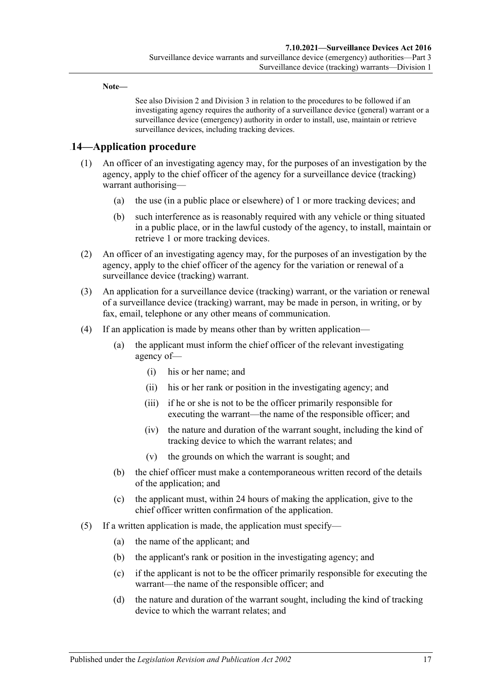**Note—**

See also [Division](#page-18-0) 2 and [Division](#page-23-0) 3 in relation to the procedures to be followed if an investigating agency requires the authority of a surveillance device (general) warrant or a surveillance device (emergency) authority in order to install, use, maintain or retrieve surveillance devices, including tracking devices.

### <span id="page-16-0"></span>26B**14—Application procedure**

- (1) An officer of an investigating agency may, for the purposes of an investigation by the agency, apply to the chief officer of the agency for a surveillance device (tracking) warrant authorising—
	- (a) the use (in a public place or elsewhere) of 1 or more tracking devices; and
	- (b) such interference as is reasonably required with any vehicle or thing situated in a public place, or in the lawful custody of the agency, to install, maintain or retrieve 1 or more tracking devices.
- (2) An officer of an investigating agency may, for the purposes of an investigation by the agency, apply to the chief officer of the agency for the variation or renewal of a surveillance device (tracking) warrant.
- (3) An application for a surveillance device (tracking) warrant, or the variation or renewal of a surveillance device (tracking) warrant, may be made in person, in writing, or by fax, email, telephone or any other means of communication.
- (4) If an application is made by means other than by written application—
	- (a) the applicant must inform the chief officer of the relevant investigating agency of—
		- (i) his or her name; and
		- (ii) his or her rank or position in the investigating agency; and
		- (iii) if he or she is not to be the officer primarily responsible for executing the warrant—the name of the responsible officer; and
		- (iv) the nature and duration of the warrant sought, including the kind of tracking device to which the warrant relates; and
		- (v) the grounds on which the warrant is sought; and
	- (b) the chief officer must make a contemporaneous written record of the details of the application; and
	- (c) the applicant must, within 24 hours of making the application, give to the chief officer written confirmation of the application.
- (5) If a written application is made, the application must specify—
	- (a) the name of the applicant; and
	- (b) the applicant's rank or position in the investigating agency; and
	- (c) if the applicant is not to be the officer primarily responsible for executing the warrant—the name of the responsible officer; and
	- (d) the nature and duration of the warrant sought, including the kind of tracking device to which the warrant relates; and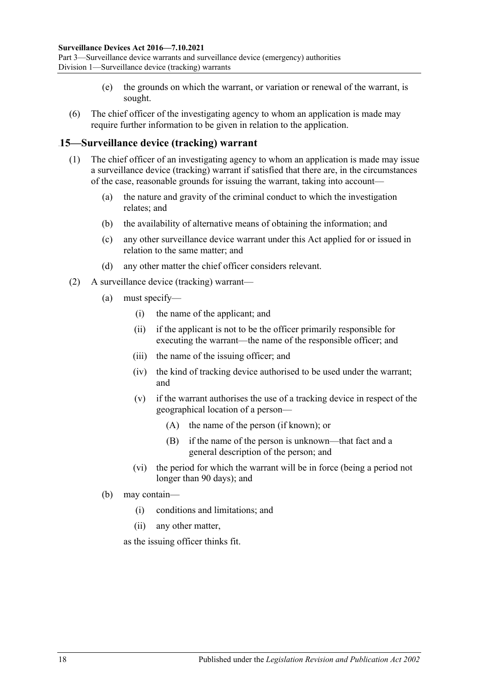Part 3—Surveillance device warrants and surveillance device (emergency) authorities Division 1—Surveillance device (tracking) warrants

- (e) the grounds on which the warrant, or variation or renewal of the warrant, is sought.
- (6) The chief officer of the investigating agency to whom an application is made may require further information to be given in relation to the application.

#### <span id="page-17-0"></span>27B**15—Surveillance device (tracking) warrant**

- (1) The chief officer of an investigating agency to whom an application is made may issue a surveillance device (tracking) warrant if satisfied that there are, in the circumstances of the case, reasonable grounds for issuing the warrant, taking into account—
	- (a) the nature and gravity of the criminal conduct to which the investigation relates; and
	- (b) the availability of alternative means of obtaining the information; and
	- (c) any other surveillance device warrant under this Act applied for or issued in relation to the same matter; and
	- (d) any other matter the chief officer considers relevant.
- (2) A surveillance device (tracking) warrant—
	- (a) must specify—
		- (i) the name of the applicant; and
		- (ii) if the applicant is not to be the officer primarily responsible for executing the warrant—the name of the responsible officer; and
		- (iii) the name of the issuing officer; and
		- (iv) the kind of tracking device authorised to be used under the warrant; and
		- (v) if the warrant authorises the use of a tracking device in respect of the geographical location of a person—
			- (A) the name of the person (if known); or
			- (B) if the name of the person is unknown—that fact and a general description of the person; and
		- (vi) the period for which the warrant will be in force (being a period not longer than 90 days); and
	- (b) may contain—
		- (i) conditions and limitations; and
		- (ii) any other matter,

as the issuing officer thinks fit.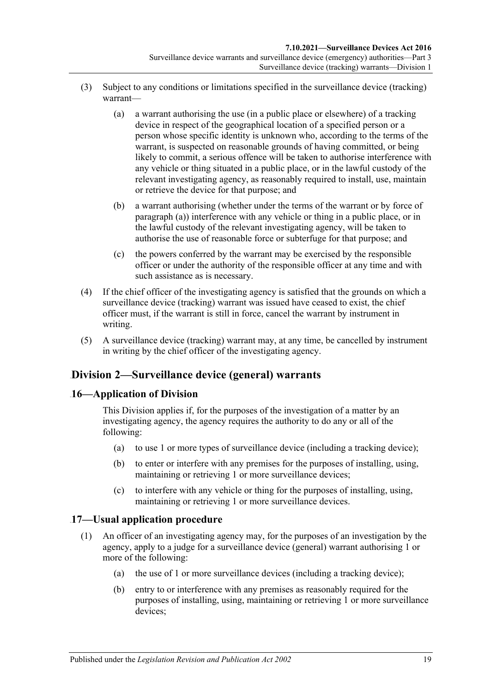- <span id="page-18-3"></span>(3) Subject to any conditions or limitations specified in the surveillance device (tracking) warrant—
	- (a) a warrant authorising the use (in a public place or elsewhere) of a tracking device in respect of the geographical location of a specified person or a person whose specific identity is unknown who, according to the terms of the warrant, is suspected on reasonable grounds of having committed, or being likely to commit, a serious offence will be taken to authorise interference with any vehicle or thing situated in a public place, or in the lawful custody of the relevant investigating agency, as reasonably required to install, use, maintain or retrieve the device for that purpose; and
	- (b) a warrant authorising (whether under the terms of the warrant or by force of [paragraph](#page-18-3) (a)) interference with any vehicle or thing in a public place, or in the lawful custody of the relevant investigating agency, will be taken to authorise the use of reasonable force or subterfuge for that purpose; and
	- (c) the powers conferred by the warrant may be exercised by the responsible officer or under the authority of the responsible officer at any time and with such assistance as is necessary.
- (4) If the chief officer of the investigating agency is satisfied that the grounds on which a surveillance device (tracking) warrant was issued have ceased to exist, the chief officer must, if the warrant is still in force, cancel the warrant by instrument in writing.
- (5) A surveillance device (tracking) warrant may, at any time, be cancelled by instrument in writing by the chief officer of the investigating agency.

### <span id="page-18-0"></span>44B**Division 2—Surveillance device (general) warrants**

#### <span id="page-18-1"></span>28B**16—Application of Division**

This Division applies if, for the purposes of the investigation of a matter by an investigating agency, the agency requires the authority to do any or all of the following:

- (a) to use 1 or more types of surveillance device (including a tracking device);
- (b) to enter or interfere with any premises for the purposes of installing, using, maintaining or retrieving 1 or more surveillance devices;
- (c) to interfere with any vehicle or thing for the purposes of installing, using, maintaining or retrieving 1 or more surveillance devices.

#### <span id="page-18-2"></span>29B**17—Usual application procedure**

- (1) An officer of an investigating agency may, for the purposes of an investigation by the agency, apply to a judge for a surveillance device (general) warrant authorising 1 or more of the following:
	- (a) the use of 1 or more surveillance devices (including a tracking device);
	- (b) entry to or interference with any premises as reasonably required for the purposes of installing, using, maintaining or retrieving 1 or more surveillance devices;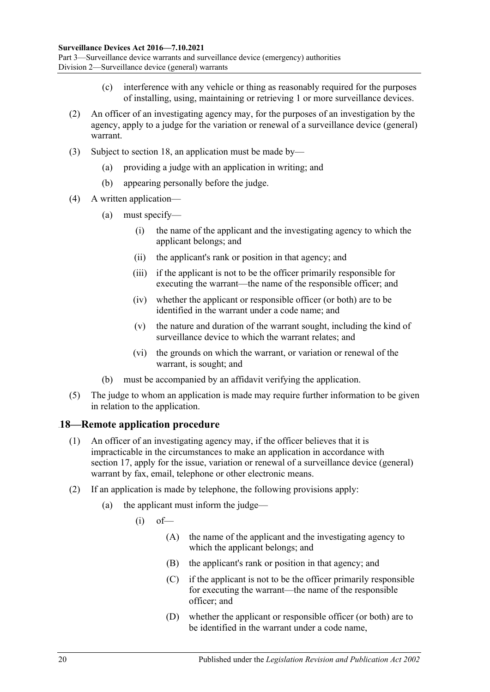- (c) interference with any vehicle or thing as reasonably required for the purposes of installing, using, maintaining or retrieving 1 or more surveillance devices.
- (2) An officer of an investigating agency may, for the purposes of an investigation by the agency, apply to a judge for the variation or renewal of a surveillance device (general) warrant.
- (3) Subject to [section](#page-19-0) 18, an application must be made by—
	- (a) providing a judge with an application in writing; and
	- (b) appearing personally before the judge.
- (4) A written application—
	- (a) must specify—
		- (i) the name of the applicant and the investigating agency to which the applicant belongs; and
		- (ii) the applicant's rank or position in that agency; and
		- (iii) if the applicant is not to be the officer primarily responsible for executing the warrant—the name of the responsible officer; and
		- (iv) whether the applicant or responsible officer (or both) are to be identified in the warrant under a code name; and
		- (v) the nature and duration of the warrant sought, including the kind of surveillance device to which the warrant relates; and
		- (vi) the grounds on which the warrant, or variation or renewal of the warrant, is sought; and
	- (b) must be accompanied by an affidavit verifying the application.
- (5) The judge to whom an application is made may require further information to be given in relation to the application.

#### <span id="page-19-0"></span>30B**18—Remote application procedure**

- (1) An officer of an investigating agency may, if the officer believes that it is impracticable in the circumstances to make an application in accordance with [section](#page-18-2) 17, apply for the issue, variation or renewal of a surveillance device (general) warrant by fax, email, telephone or other electronic means.
- (2) If an application is made by telephone, the following provisions apply:
	- (a) the applicant must inform the judge—
		- $(i)$  of  $-$ 
			- (A) the name of the applicant and the investigating agency to which the applicant belongs; and
			- (B) the applicant's rank or position in that agency; and
			- (C) if the applicant is not to be the officer primarily responsible for executing the warrant—the name of the responsible officer; and
			- (D) whether the applicant or responsible officer (or both) are to be identified in the warrant under a code name,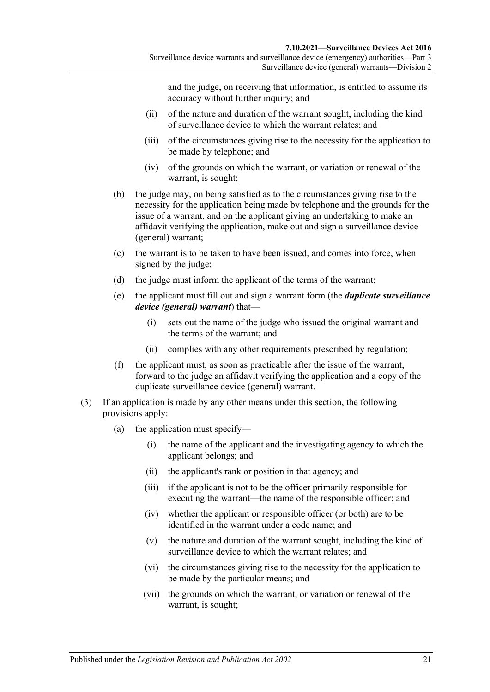Surveillance device (general) warrants—Division 2

and the judge, on receiving that information, is entitled to assume its accuracy without further inquiry; and

- (ii) of the nature and duration of the warrant sought, including the kind of surveillance device to which the warrant relates; and
- (iii) of the circumstances giving rise to the necessity for the application to be made by telephone; and
- (iv) of the grounds on which the warrant, or variation or renewal of the warrant, is sought;
- (b) the judge may, on being satisfied as to the circumstances giving rise to the necessity for the application being made by telephone and the grounds for the issue of a warrant, and on the applicant giving an undertaking to make an affidavit verifying the application, make out and sign a surveillance device (general) warrant;
- (c) the warrant is to be taken to have been issued, and comes into force, when signed by the judge;
- (d) the judge must inform the applicant of the terms of the warrant;
- <span id="page-20-0"></span>(e) the applicant must fill out and sign a warrant form (the *duplicate surveillance device (general) warrant*) that—
	- (i) sets out the name of the judge who issued the original warrant and the terms of the warrant; and
	- (ii) complies with any other requirements prescribed by regulation;
- (f) the applicant must, as soon as practicable after the issue of the warrant, forward to the judge an affidavit verifying the application and a copy of the duplicate surveillance device (general) warrant.
- (3) If an application is made by any other means under this section, the following provisions apply:
	- (a) the application must specify—
		- (i) the name of the applicant and the investigating agency to which the applicant belongs; and
		- (ii) the applicant's rank or position in that agency; and
		- (iii) if the applicant is not to be the officer primarily responsible for executing the warrant—the name of the responsible officer; and
		- (iv) whether the applicant or responsible officer (or both) are to be identified in the warrant under a code name; and
		- (v) the nature and duration of the warrant sought, including the kind of surveillance device to which the warrant relates; and
		- (vi) the circumstances giving rise to the necessity for the application to be made by the particular means; and
		- (vii) the grounds on which the warrant, or variation or renewal of the warrant, is sought;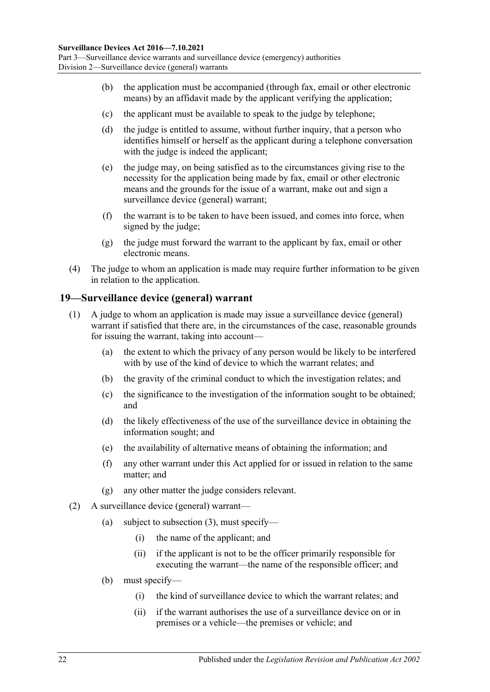- (b) the application must be accompanied (through fax, email or other electronic means) by an affidavit made by the applicant verifying the application;
- (c) the applicant must be available to speak to the judge by telephone;
- (d) the judge is entitled to assume, without further inquiry, that a person who identifies himself or herself as the applicant during a telephone conversation with the judge is indeed the applicant;
- (e) the judge may, on being satisfied as to the circumstances giving rise to the necessity for the application being made by fax, email or other electronic means and the grounds for the issue of a warrant, make out and sign a surveillance device (general) warrant;
- (f) the warrant is to be taken to have been issued, and comes into force, when signed by the judge;
- (g) the judge must forward the warrant to the applicant by fax, email or other electronic means.
- (4) The judge to whom an application is made may require further information to be given in relation to the application.

### <span id="page-21-0"></span>31B**19—Surveillance device (general) warrant**

- (1) A judge to whom an application is made may issue a surveillance device (general) warrant if satisfied that there are, in the circumstances of the case, reasonable grounds for issuing the warrant, taking into account—
	- (a) the extent to which the privacy of any person would be likely to be interfered with by use of the kind of device to which the warrant relates; and
	- (b) the gravity of the criminal conduct to which the investigation relates; and
	- (c) the significance to the investigation of the information sought to be obtained; and
	- (d) the likely effectiveness of the use of the surveillance device in obtaining the information sought; and
	- (e) the availability of alternative means of obtaining the information; and
	- (f) any other warrant under this Act applied for or issued in relation to the same matter; and
	- (g) any other matter the judge considers relevant.
- (2) A surveillance device (general) warrant
	- (a) subject to [subsection](#page-22-0)  $(3)$ , must specify—
		- (i) the name of the applicant; and
		- (ii) if the applicant is not to be the officer primarily responsible for executing the warrant—the name of the responsible officer; and
	- (b) must specify—
		- (i) the kind of surveillance device to which the warrant relates; and
		- (ii) if the warrant authorises the use of a surveillance device on or in premises or a vehicle—the premises or vehicle; and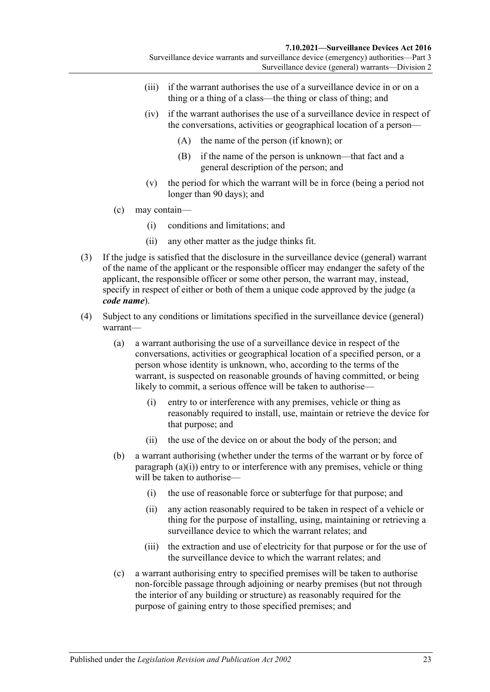Surveillance device (general) warrants—Division 2

- (iii) if the warrant authorises the use of a surveillance device in or on a thing or a thing of a class—the thing or class of thing; and
- (iv) if the warrant authorises the use of a surveillance device in respect of the conversations, activities or geographical location of a person—
	- (A) the name of the person (if known); or
	- (B) if the name of the person is unknown—that fact and a general description of the person; and
- (v) the period for which the warrant will be in force (being a period not longer than 90 days); and
- (c) may contain—
	- (i) conditions and limitations; and
	- (ii) any other matter as the judge thinks fit.
- <span id="page-22-0"></span>(3) If the judge is satisfied that the disclosure in the surveillance device (general) warrant of the name of the applicant or the responsible officer may endanger the safety of the applicant, the responsible officer or some other person, the warrant may, instead, specify in respect of either or both of them a unique code approved by the judge (a *code name*).
- <span id="page-22-1"></span>(4) Subject to any conditions or limitations specified in the surveillance device (general) warrant—
	- (a) a warrant authorising the use of a surveillance device in respect of the conversations, activities or geographical location of a specified person, or a person whose identity is unknown, who, according to the terms of the warrant, is suspected on reasonable grounds of having committed, or being likely to commit, a serious offence will be taken to authorise—
		- (i) entry to or interference with any premises, vehicle or thing as reasonably required to install, use, maintain or retrieve the device for that purpose; and
		- (ii) the use of the device on or about the body of the person; and
	- (b) a warrant authorising (whether under the terms of the warrant or by force of [paragraph](#page-22-1) (a)(i)) entry to or interference with any premises, vehicle or thing will be taken to authorise—
		- (i) the use of reasonable force or subterfuge for that purpose; and
		- (ii) any action reasonably required to be taken in respect of a vehicle or thing for the purpose of installing, using, maintaining or retrieving a surveillance device to which the warrant relates; and
		- (iii) the extraction and use of electricity for that purpose or for the use of the surveillance device to which the warrant relates; and
	- (c) a warrant authorising entry to specified premises will be taken to authorise non-forcible passage through adjoining or nearby premises (but not through the interior of any building or structure) as reasonably required for the purpose of gaining entry to those specified premises; and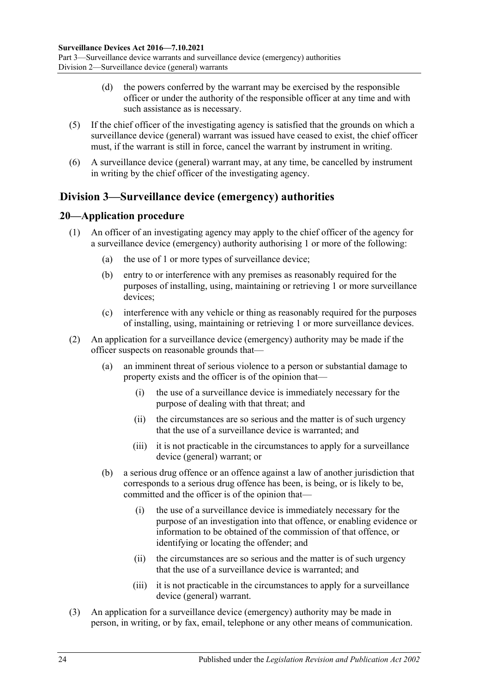- (d) the powers conferred by the warrant may be exercised by the responsible officer or under the authority of the responsible officer at any time and with such assistance as is necessary.
- (5) If the chief officer of the investigating agency is satisfied that the grounds on which a surveillance device (general) warrant was issued have ceased to exist, the chief officer must, if the warrant is still in force, cancel the warrant by instrument in writing.
- (6) A surveillance device (general) warrant may, at any time, be cancelled by instrument in writing by the chief officer of the investigating agency.

## <span id="page-23-0"></span>45B**Division 3—Surveillance device (emergency) authorities**

### <span id="page-23-1"></span>32B**20—Application procedure**

- (1) An officer of an investigating agency may apply to the chief officer of the agency for a surveillance device (emergency) authority authorising 1 or more of the following:
	- (a) the use of 1 or more types of surveillance device;
	- (b) entry to or interference with any premises as reasonably required for the purposes of installing, using, maintaining or retrieving 1 or more surveillance devices;
	- (c) interference with any vehicle or thing as reasonably required for the purposes of installing, using, maintaining or retrieving 1 or more surveillance devices.
- (2) An application for a surveillance device (emergency) authority may be made if the officer suspects on reasonable grounds that—
	- (a) an imminent threat of serious violence to a person or substantial damage to property exists and the officer is of the opinion that—
		- (i) the use of a surveillance device is immediately necessary for the purpose of dealing with that threat; and
		- (ii) the circumstances are so serious and the matter is of such urgency that the use of a surveillance device is warranted; and
		- (iii) it is not practicable in the circumstances to apply for a surveillance device (general) warrant; or
	- (b) a serious drug offence or an offence against a law of another jurisdiction that corresponds to a serious drug offence has been, is being, or is likely to be, committed and the officer is of the opinion that—
		- (i) the use of a surveillance device is immediately necessary for the purpose of an investigation into that offence, or enabling evidence or information to be obtained of the commission of that offence, or identifying or locating the offender; and
		- (ii) the circumstances are so serious and the matter is of such urgency that the use of a surveillance device is warranted; and
		- (iii) it is not practicable in the circumstances to apply for a surveillance device (general) warrant.
- (3) An application for a surveillance device (emergency) authority may be made in person, in writing, or by fax, email, telephone or any other means of communication.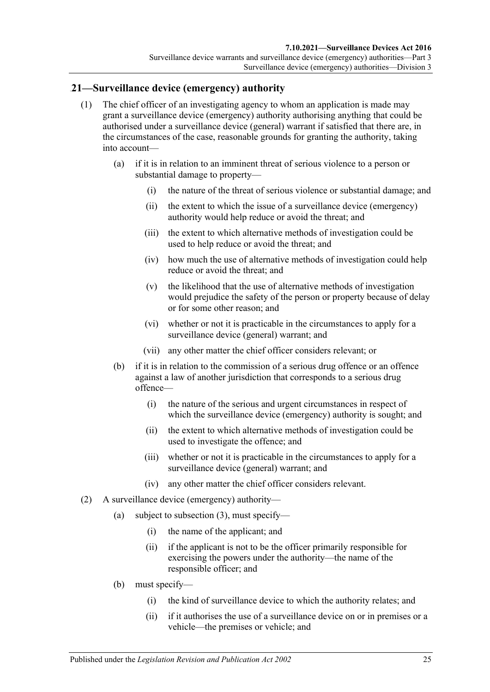Surveillance device (emergency) authorities—Division 3

#### <span id="page-24-0"></span>33B**21—Surveillance device (emergency) authority**

- (1) The chief officer of an investigating agency to whom an application is made may grant a surveillance device (emergency) authority authorising anything that could be authorised under a surveillance device (general) warrant if satisfied that there are, in the circumstances of the case, reasonable grounds for granting the authority, taking into account—
	- (a) if it is in relation to an imminent threat of serious violence to a person or substantial damage to property—
		- (i) the nature of the threat of serious violence or substantial damage; and
		- (ii) the extent to which the issue of a surveillance device (emergency) authority would help reduce or avoid the threat; and
		- (iii) the extent to which alternative methods of investigation could be used to help reduce or avoid the threat; and
		- (iv) how much the use of alternative methods of investigation could help reduce or avoid the threat; and
		- (v) the likelihood that the use of alternative methods of investigation would prejudice the safety of the person or property because of delay or for some other reason; and
		- (vi) whether or not it is practicable in the circumstances to apply for a surveillance device (general) warrant; and
		- (vii) any other matter the chief officer considers relevant; or
	- (b) if it is in relation to the commission of a serious drug offence or an offence against a law of another jurisdiction that corresponds to a serious drug offence—
		- (i) the nature of the serious and urgent circumstances in respect of which the surveillance device (emergency) authority is sought; and
		- (ii) the extent to which alternative methods of investigation could be used to investigate the offence; and
		- (iii) whether or not it is practicable in the circumstances to apply for a surveillance device (general) warrant; and
		- (iv) any other matter the chief officer considers relevant.
- (2) A surveillance device (emergency) authority—
	- (a) subject to [subsection](#page-25-0) (3), must specify—
		- (i) the name of the applicant; and
		- (ii) if the applicant is not to be the officer primarily responsible for exercising the powers under the authority—the name of the responsible officer; and
	- (b) must specify—
		- (i) the kind of surveillance device to which the authority relates; and
		- (ii) if it authorises the use of a surveillance device on or in premises or a vehicle—the premises or vehicle; and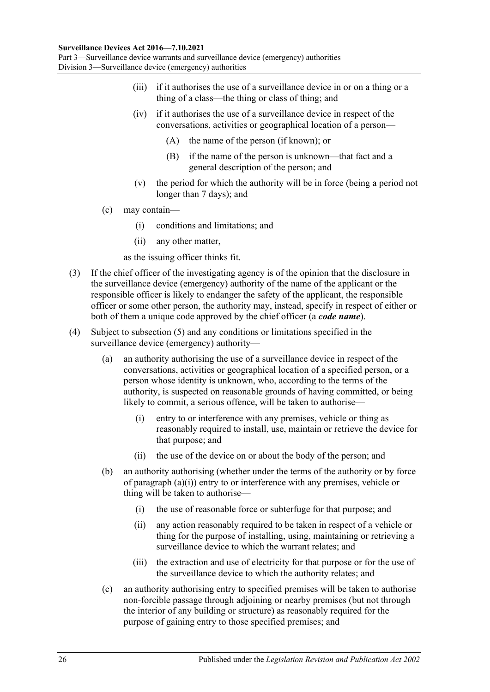#### **Surveillance Devices Act 2016—7.10.2021**

Part 3—Surveillance device warrants and surveillance device (emergency) authorities Division 3—Surveillance device (emergency) authorities

- (iii) if it authorises the use of a surveillance device in or on a thing or a thing of a class—the thing or class of thing; and
- (iv) if it authorises the use of a surveillance device in respect of the conversations, activities or geographical location of a person—
	- (A) the name of the person (if known); or
	- (B) if the name of the person is unknown—that fact and a general description of the person; and
- (v) the period for which the authority will be in force (being a period not longer than 7 days); and
- (c) may contain—
	- (i) conditions and limitations; and
	- (ii) any other matter,
	- as the issuing officer thinks fit.
- <span id="page-25-0"></span>(3) If the chief officer of the investigating agency is of the opinion that the disclosure in the surveillance device (emergency) authority of the name of the applicant or the responsible officer is likely to endanger the safety of the applicant, the responsible officer or some other person, the authority may, instead, specify in respect of either or both of them a unique code approved by the chief officer (a *code name*).
- <span id="page-25-1"></span>(4) Subject to [subsection](#page-26-1) (5) and any conditions or limitations specified in the surveillance device (emergency) authority—
	- (a) an authority authorising the use of a surveillance device in respect of the conversations, activities or geographical location of a specified person, or a person whose identity is unknown, who, according to the terms of the authority, is suspected on reasonable grounds of having committed, or being likely to commit, a serious offence, will be taken to authorise—
		- (i) entry to or interference with any premises, vehicle or thing as reasonably required to install, use, maintain or retrieve the device for that purpose; and
		- (ii) the use of the device on or about the body of the person; and
	- (b) an authority authorising (whether under the terms of the authority or by force of [paragraph](#page-25-1)  $(a)(i)$ ) entry to or interference with any premises, vehicle or thing will be taken to authorise—
		- (i) the use of reasonable force or subterfuge for that purpose; and
		- (ii) any action reasonably required to be taken in respect of a vehicle or thing for the purpose of installing, using, maintaining or retrieving a surveillance device to which the warrant relates; and
		- (iii) the extraction and use of electricity for that purpose or for the use of the surveillance device to which the authority relates; and
	- (c) an authority authorising entry to specified premises will be taken to authorise non-forcible passage through adjoining or nearby premises (but not through the interior of any building or structure) as reasonably required for the purpose of gaining entry to those specified premises; and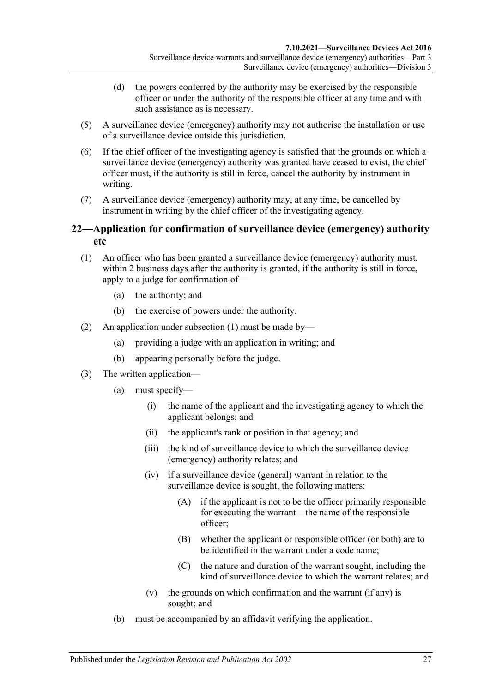- (d) the powers conferred by the authority may be exercised by the responsible officer or under the authority of the responsible officer at any time and with such assistance as is necessary.
- <span id="page-26-1"></span>(5) A surveillance device (emergency) authority may not authorise the installation or use of a surveillance device outside this jurisdiction.
- (6) If the chief officer of the investigating agency is satisfied that the grounds on which a surveillance device (emergency) authority was granted have ceased to exist, the chief officer must, if the authority is still in force, cancel the authority by instrument in writing.
- (7) A surveillance device (emergency) authority may, at any time, be cancelled by instrument in writing by the chief officer of the investigating agency.

#### <span id="page-26-0"></span>34B**22—Application for confirmation of surveillance device (emergency) authority etc**

- <span id="page-26-2"></span>(1) An officer who has been granted a surveillance device (emergency) authority must, within 2 business days after the authority is granted, if the authority is still in force, apply to a judge for confirmation of—
	- (a) the authority; and
	- (b) the exercise of powers under the authority.
- (2) An application under [subsection](#page-26-2) (1) must be made by—
	- (a) providing a judge with an application in writing; and
	- (b) appearing personally before the judge.
- (3) The written application—
	- (a) must specify—
		- (i) the name of the applicant and the investigating agency to which the applicant belongs; and
		- (ii) the applicant's rank or position in that agency; and
		- (iii) the kind of surveillance device to which the surveillance device (emergency) authority relates; and
		- (iv) if a surveillance device (general) warrant in relation to the surveillance device is sought, the following matters:
			- (A) if the applicant is not to be the officer primarily responsible for executing the warrant—the name of the responsible officer;
			- (B) whether the applicant or responsible officer (or both) are to be identified in the warrant under a code name;
			- (C) the nature and duration of the warrant sought, including the kind of surveillance device to which the warrant relates; and
		- (v) the grounds on which confirmation and the warrant (if any) is sought; and
	- (b) must be accompanied by an affidavit verifying the application.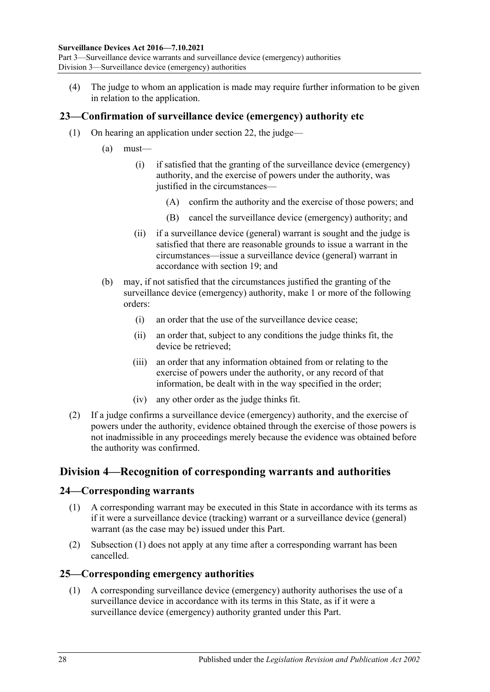(4) The judge to whom an application is made may require further information to be given in relation to the application.

### <span id="page-27-0"></span>35B**23—Confirmation of surveillance device (emergency) authority etc**

- (1) On hearing an application under [section](#page-26-0) 22, the judge—
	- (a) must—
		- (i) if satisfied that the granting of the surveillance device (emergency) authority, and the exercise of powers under the authority, was justified in the circumstances—
			- (A) confirm the authority and the exercise of those powers; and
			- (B) cancel the surveillance device (emergency) authority; and
		- (ii) if a surveillance device (general) warrant is sought and the judge is satisfied that there are reasonable grounds to issue a warrant in the circumstances—issue a surveillance device (general) warrant in accordance with [section](#page-21-0) 19; and
	- (b) may, if not satisfied that the circumstances justified the granting of the surveillance device (emergency) authority, make 1 or more of the following orders:
		- (i) an order that the use of the surveillance device cease;
		- (ii) an order that, subject to any conditions the judge thinks fit, the device be retrieved;
		- (iii) an order that any information obtained from or relating to the exercise of powers under the authority, or any record of that information, be dealt with in the way specified in the order;
		- (iv) any other order as the judge thinks fit.
- (2) If a judge confirms a surveillance device (emergency) authority, and the exercise of powers under the authority, evidence obtained through the exercise of those powers is not inadmissible in any proceedings merely because the evidence was obtained before the authority was confirmed.

### <span id="page-27-1"></span>46B**Division 4—Recognition of corresponding warrants and authorities**

#### <span id="page-27-4"></span><span id="page-27-2"></span>36B**24—Corresponding warrants**

- (1) A corresponding warrant may be executed in this State in accordance with its terms as if it were a surveillance device (tracking) warrant or a surveillance device (general) warrant (as the case may be) issued under this Part.
- (2) [Subsection](#page-27-4) (1) does not apply at any time after a corresponding warrant has been cancelled.

#### <span id="page-27-5"></span><span id="page-27-3"></span>37B**25—Corresponding emergency authorities**

(1) A corresponding surveillance device (emergency) authority authorises the use of a surveillance device in accordance with its terms in this State, as if it were a surveillance device (emergency) authority granted under this Part.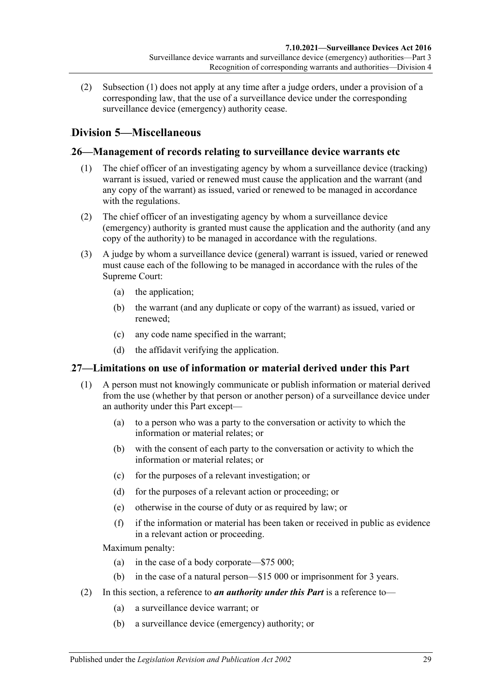(2) [Subsection](#page-27-5) (1) does not apply at any time after a judge orders, under a provision of a corresponding law, that the use of a surveillance device under the corresponding surveillance device (emergency) authority cease.

## <span id="page-28-0"></span>47B**Division 5—Miscellaneous**

## <span id="page-28-1"></span>38B**26—Management of records relating to surveillance device warrants etc**

- (1) The chief officer of an investigating agency by whom a surveillance device (tracking) warrant is issued, varied or renewed must cause the application and the warrant (and any copy of the warrant) as issued, varied or renewed to be managed in accordance with the regulations.
- (2) The chief officer of an investigating agency by whom a surveillance device (emergency) authority is granted must cause the application and the authority (and any copy of the authority) to be managed in accordance with the regulations.
- (3) A judge by whom a surveillance device (general) warrant is issued, varied or renewed must cause each of the following to be managed in accordance with the rules of the Supreme Court:
	- (a) the application;
	- (b) the warrant (and any duplicate or copy of the warrant) as issued, varied or renewed;
	- (c) any code name specified in the warrant;
	- (d) the affidavit verifying the application.

### <span id="page-28-2"></span>39B**27—Limitations on use of information or material derived under this Part**

- (1) A person must not knowingly communicate or publish information or material derived from the use (whether by that person or another person) of a surveillance device under an authority under this Part except—
	- (a) to a person who was a party to the conversation or activity to which the information or material relates; or
	- (b) with the consent of each party to the conversation or activity to which the information or material relates; or
	- (c) for the purposes of a relevant investigation; or
	- (d) for the purposes of a relevant action or proceeding; or
	- (e) otherwise in the course of duty or as required by law; or
	- (f) if the information or material has been taken or received in public as evidence in a relevant action or proceeding.

Maximum penalty:

- (a) in the case of a body corporate—\$75 000;
- (b) in the case of a natural person—\$15 000 or imprisonment for 3 years.
- (2) In this section, a reference to *an authority under this Part* is a reference to—
	- (a) a surveillance device warrant; or
	- (b) a surveillance device (emergency) authority; or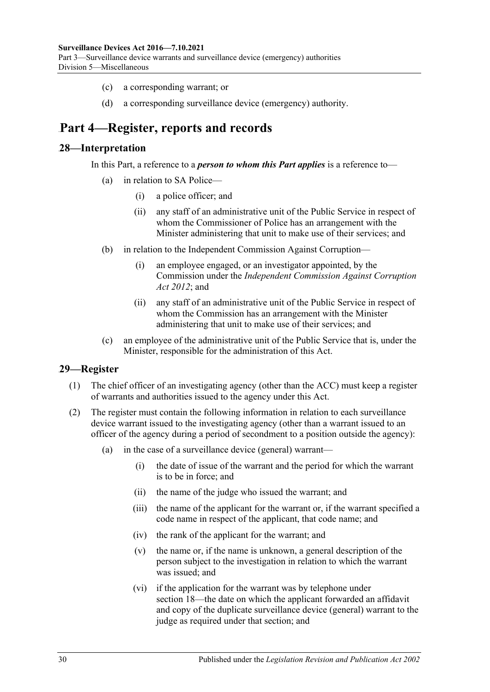- (c) a corresponding warrant; or
- (d) a corresponding surveillance device (emergency) authority.

## <span id="page-29-0"></span>52B**Part 4—Register, reports and records**

#### <span id="page-29-1"></span>2B**28—Interpretation**

In this Part, a reference to a *person to whom this Part applies* is a reference to—

- in relation to SA Police—
	- (i) a police officer; and
	- (ii) any staff of an administrative unit of the Public Service in respect of whom the Commissioner of Police has an arrangement with the Minister administering that unit to make use of their services; and
- (b) in relation to the Independent Commission Against Corruption—
	- (i) an employee engaged, or an investigator appointed, by the Commission under the *[Independent Commission Against Corruption](http://www.legislation.sa.gov.au/index.aspx?action=legref&type=act&legtitle=Independent%20Commission%20Against%20Corruption%20Act%202012)  Act [2012](http://www.legislation.sa.gov.au/index.aspx?action=legref&type=act&legtitle=Independent%20Commission%20Against%20Corruption%20Act%202012)*; and
	- (ii) any staff of an administrative unit of the Public Service in respect of whom the Commission has an arrangement with the Minister administering that unit to make use of their services; and
- (c) an employee of the administrative unit of the Public Service that is, under the Minister, responsible for the administration of this Act.

#### <span id="page-29-2"></span>3B**29—Register**

- (1) The chief officer of an investigating agency (other than the ACC) must keep a register of warrants and authorities issued to the agency under this Act.
- (2) The register must contain the following information in relation to each surveillance device warrant issued to the investigating agency (other than a warrant issued to an officer of the agency during a period of secondment to a position outside the agency):
	- (a) in the case of a surveillance device (general) warrant—
		- (i) the date of issue of the warrant and the period for which the warrant is to be in force; and
		- (ii) the name of the judge who issued the warrant; and
		- (iii) the name of the applicant for the warrant or, if the warrant specified a code name in respect of the applicant, that code name; and
		- (iv) the rank of the applicant for the warrant; and
		- (v) the name or, if the name is unknown, a general description of the person subject to the investigation in relation to which the warrant was issued; and
		- (vi) if the application for the warrant was by telephone under [section](#page-19-0) 18—the date on which the applicant forwarded an affidavit and copy of the duplicate surveillance device (general) warrant to the judge as required under that section; and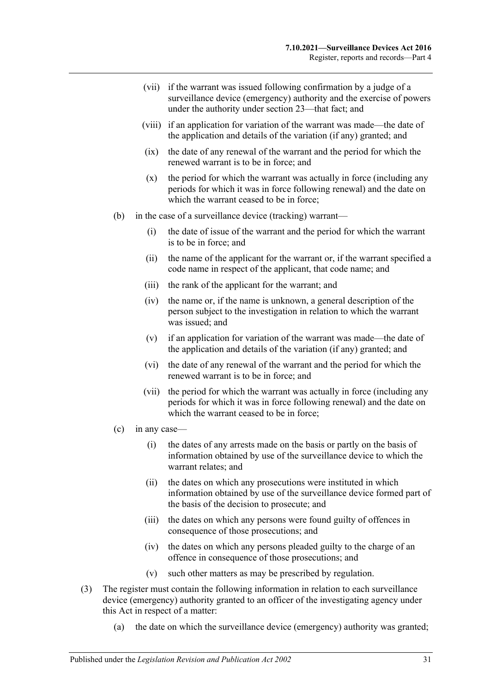- (vii) if the warrant was issued following confirmation by a judge of a surveillance device (emergency) authority and the exercise of powers under the authority under [section](#page-27-0) 23—that fact; and
- (viii) if an application for variation of the warrant was made—the date of the application and details of the variation (if any) granted; and
- (ix) the date of any renewal of the warrant and the period for which the renewed warrant is to be in force; and
- (x) the period for which the warrant was actually in force (including any periods for which it was in force following renewal) and the date on which the warrant ceased to be in force:
- (b) in the case of a surveillance device (tracking) warrant—
	- (i) the date of issue of the warrant and the period for which the warrant is to be in force; and
	- (ii) the name of the applicant for the warrant or, if the warrant specified a code name in respect of the applicant, that code name; and
	- (iii) the rank of the applicant for the warrant; and
	- (iv) the name or, if the name is unknown, a general description of the person subject to the investigation in relation to which the warrant was issued; and
	- (v) if an application for variation of the warrant was made—the date of the application and details of the variation (if any) granted; and
	- (vi) the date of any renewal of the warrant and the period for which the renewed warrant is to be in force; and
	- (vii) the period for which the warrant was actually in force (including any periods for which it was in force following renewal) and the date on which the warrant ceased to be in force:
- (c) in any case—
	- (i) the dates of any arrests made on the basis or partly on the basis of information obtained by use of the surveillance device to which the warrant relates; and
	- (ii) the dates on which any prosecutions were instituted in which information obtained by use of the surveillance device formed part of the basis of the decision to prosecute; and
	- (iii) the dates on which any persons were found guilty of offences in consequence of those prosecutions; and
	- (iv) the dates on which any persons pleaded guilty to the charge of an offence in consequence of those prosecutions; and
	- (v) such other matters as may be prescribed by regulation.
- (3) The register must contain the following information in relation to each surveillance device (emergency) authority granted to an officer of the investigating agency under this Act in respect of a matter:
	- (a) the date on which the surveillance device (emergency) authority was granted;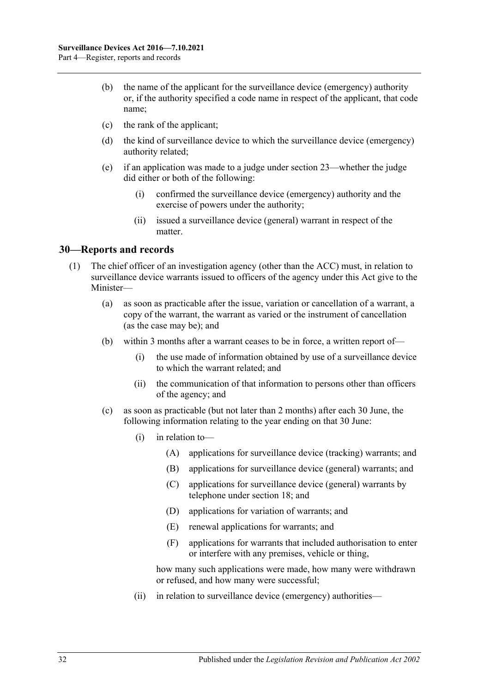- (b) the name of the applicant for the surveillance device (emergency) authority or, if the authority specified a code name in respect of the applicant, that code name;
- (c) the rank of the applicant;
- (d) the kind of surveillance device to which the surveillance device (emergency) authority related;
- (e) if an application was made to a judge under [section](#page-27-0) 23—whether the judge did either or both of the following:
	- (i) confirmed the surveillance device (emergency) authority and the exercise of powers under the authority;
	- (ii) issued a surveillance device (general) warrant in respect of the matter.

#### <span id="page-31-1"></span><span id="page-31-0"></span>4B**30—Reports and records**

- <span id="page-31-2"></span>(1) The chief officer of an investigation agency (other than the ACC) must, in relation to surveillance device warrants issued to officers of the agency under this Act give to the Minister—
	- (a) as soon as practicable after the issue, variation or cancellation of a warrant, a copy of the warrant, the warrant as varied or the instrument of cancellation (as the case may be); and
	- (b) within 3 months after a warrant ceases to be in force, a written report of—
		- (i) the use made of information obtained by use of a surveillance device to which the warrant related; and
		- (ii) the communication of that information to persons other than officers of the agency; and
	- (c) as soon as practicable (but not later than 2 months) after each 30 June, the following information relating to the year ending on that 30 June:
		- (i) in relation to—
			- (A) applications for surveillance device (tracking) warrants; and
			- (B) applications for surveillance device (general) warrants; and
			- (C) applications for surveillance device (general) warrants by telephone under [section](#page-19-0) 18; and
			- (D) applications for variation of warrants; and
			- (E) renewal applications for warrants; and
			- (F) applications for warrants that included authorisation to enter or interfere with any premises, vehicle or thing,

how many such applications were made, how many were withdrawn or refused, and how many were successful;

(ii) in relation to surveillance device (emergency) authorities—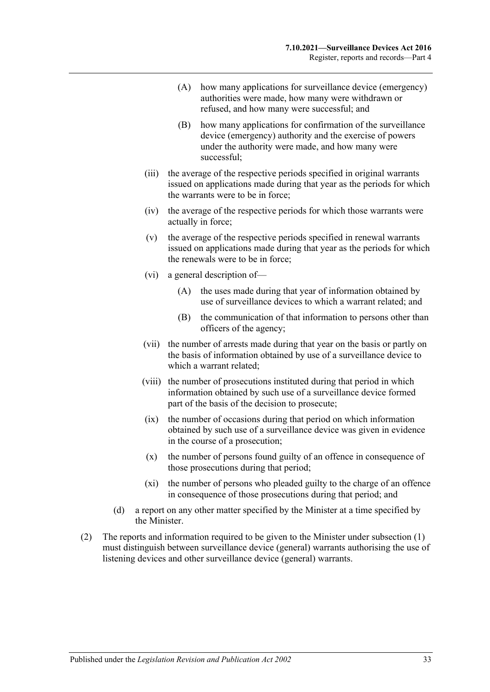- (A) how many applications for surveillance device (emergency) authorities were made, how many were withdrawn or refused, and how many were successful; and
- (B) how many applications for confirmation of the surveillance device (emergency) authority and the exercise of powers under the authority were made, and how many were successful;
- (iii) the average of the respective periods specified in original warrants issued on applications made during that year as the periods for which the warrants were to be in force;
- (iv) the average of the respective periods for which those warrants were actually in force;
- (v) the average of the respective periods specified in renewal warrants issued on applications made during that year as the periods for which the renewals were to be in force;
- (vi) a general description of—
	- (A) the uses made during that year of information obtained by use of surveillance devices to which a warrant related; and
	- (B) the communication of that information to persons other than officers of the agency;
- (vii) the number of arrests made during that year on the basis or partly on the basis of information obtained by use of a surveillance device to which a warrant related;
- (viii) the number of prosecutions instituted during that period in which information obtained by such use of a surveillance device formed part of the basis of the decision to prosecute;
- (ix) the number of occasions during that period on which information obtained by such use of a surveillance device was given in evidence in the course of a prosecution;
- (x) the number of persons found guilty of an offence in consequence of those prosecutions during that period;
- (xi) the number of persons who pleaded guilty to the charge of an offence in consequence of those prosecutions during that period; and
- (d) a report on any other matter specified by the Minister at a time specified by the Minister.
- (2) The reports and information required to be given to the Minister under [subsection](#page-31-1) (1) must distinguish between surveillance device (general) warrants authorising the use of listening devices and other surveillance device (general) warrants.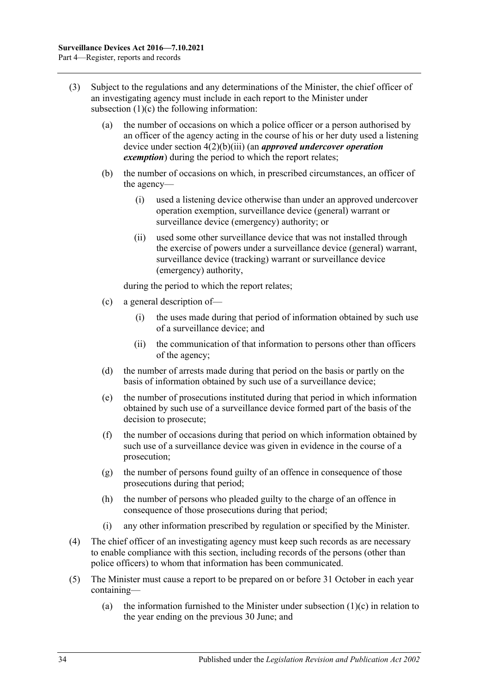- (3) Subject to the regulations and any determinations of the Minister, the chief officer of an investigating agency must include in each report to the Minister under [subsection](#page-31-2)  $(1)(c)$  the following information:
	- (a) the number of occasions on which a police officer or a person authorised by an officer of the agency acting in the course of his or her duty used a listening device under section [4\(2\)\(b\)\(iii\)](#page-8-6) (an *approved undercover operation exemption*) during the period to which the report relates;
	- (b) the number of occasions on which, in prescribed circumstances, an officer of the agency—
		- (i) used a listening device otherwise than under an approved undercover operation exemption, surveillance device (general) warrant or surveillance device (emergency) authority; or
		- (ii) used some other surveillance device that was not installed through the exercise of powers under a surveillance device (general) warrant, surveillance device (tracking) warrant or surveillance device (emergency) authority,

during the period to which the report relates;

- (c) a general description of—
	- (i) the uses made during that period of information obtained by such use of a surveillance device; and
	- (ii) the communication of that information to persons other than officers of the agency;
- (d) the number of arrests made during that period on the basis or partly on the basis of information obtained by such use of a surveillance device;
- (e) the number of prosecutions instituted during that period in which information obtained by such use of a surveillance device formed part of the basis of the decision to prosecute;
- (f) the number of occasions during that period on which information obtained by such use of a surveillance device was given in evidence in the course of a prosecution;
- (g) the number of persons found guilty of an offence in consequence of those prosecutions during that period;
- (h) the number of persons who pleaded guilty to the charge of an offence in consequence of those prosecutions during that period;
- (i) any other information prescribed by regulation or specified by the Minister.
- (4) The chief officer of an investigating agency must keep such records as are necessary to enable compliance with this section, including records of the persons (other than police officers) to whom that information has been communicated.
- <span id="page-33-0"></span>(5) The Minister must cause a report to be prepared on or before 31 October in each year containing
	- (a) the information furnished to the Minister under [subsection](#page-31-2)  $(1)(c)$  in relation to the year ending on the previous 30 June; and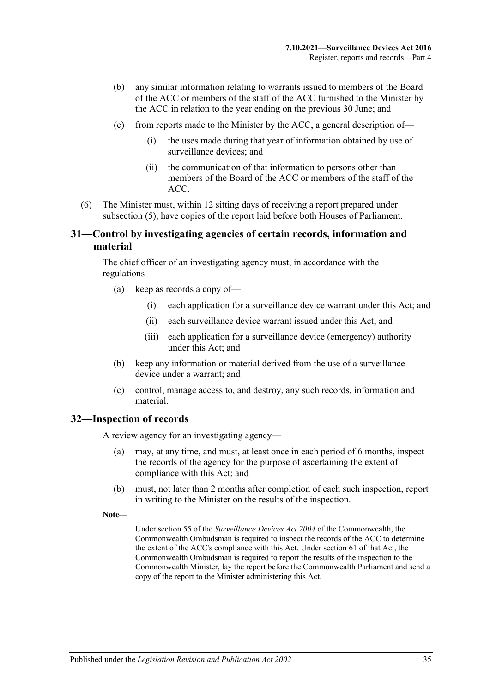- (b) any similar information relating to warrants issued to members of the Board of the ACC or members of the staff of the ACC furnished to the Minister by the ACC in relation to the year ending on the previous 30 June; and
- (c) from reports made to the Minister by the ACC, a general description of—
	- (i) the uses made during that year of information obtained by use of surveillance devices; and
	- (ii) the communication of that information to persons other than members of the Board of the ACC or members of the staff of the ACC.
- (6) The Minister must, within 12 sitting days of receiving a report prepared under [subsection](#page-33-0) (5), have copies of the report laid before both Houses of Parliament.

#### <span id="page-34-0"></span>5B**31—Control by investigating agencies of certain records, information and material**

The chief officer of an investigating agency must, in accordance with the regulations—

- (a) keep as records a copy of—
	- (i) each application for a surveillance device warrant under this Act; and
	- (ii) each surveillance device warrant issued under this Act; and
	- (iii) each application for a surveillance device (emergency) authority under this Act; and
- (b) keep any information or material derived from the use of a surveillance device under a warrant; and
- (c) control, manage access to, and destroy, any such records, information and material.

#### <span id="page-34-1"></span>6B**32—Inspection of records**

A review agency for an investigating agency—

- (a) may, at any time, and must, at least once in each period of 6 months, inspect the records of the agency for the purpose of ascertaining the extent of compliance with this Act; and
- (b) must, not later than 2 months after completion of each such inspection, report in writing to the Minister on the results of the inspection.
- **Note—**

Under section 55 of the *Surveillance Devices Act 2004* of the Commonwealth, the Commonwealth Ombudsman is required to inspect the records of the ACC to determine the extent of the ACC's compliance with this Act. Under section 61 of that Act, the Commonwealth Ombudsman is required to report the results of the inspection to the Commonwealth Minister, lay the report before the Commonwealth Parliament and send a copy of the report to the Minister administering this Act.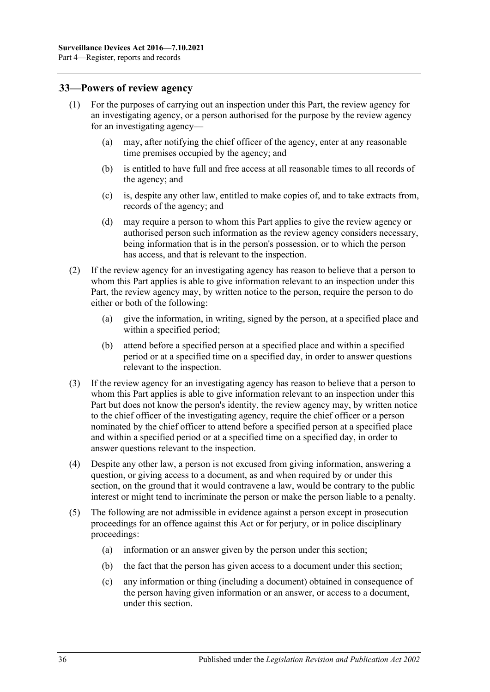#### <span id="page-35-0"></span>7B**33—Powers of review agency**

- (1) For the purposes of carrying out an inspection under this Part, the review agency for an investigating agency, or a person authorised for the purpose by the review agency for an investigating agency—
	- (a) may, after notifying the chief officer of the agency, enter at any reasonable time premises occupied by the agency; and
	- (b) is entitled to have full and free access at all reasonable times to all records of the agency; and
	- (c) is, despite any other law, entitled to make copies of, and to take extracts from, records of the agency; and
	- (d) may require a person to whom this Part applies to give the review agency or authorised person such information as the review agency considers necessary, being information that is in the person's possession, or to which the person has access, and that is relevant to the inspection.
- (2) If the review agency for an investigating agency has reason to believe that a person to whom this Part applies is able to give information relevant to an inspection under this Part, the review agency may, by written notice to the person, require the person to do either or both of the following:
	- (a) give the information, in writing, signed by the person, at a specified place and within a specified period;
	- (b) attend before a specified person at a specified place and within a specified period or at a specified time on a specified day, in order to answer questions relevant to the inspection.
- (3) If the review agency for an investigating agency has reason to believe that a person to whom this Part applies is able to give information relevant to an inspection under this Part but does not know the person's identity, the review agency may, by written notice to the chief officer of the investigating agency, require the chief officer or a person nominated by the chief officer to attend before a specified person at a specified place and within a specified period or at a specified time on a specified day, in order to answer questions relevant to the inspection.
- (4) Despite any other law, a person is not excused from giving information, answering a question, or giving access to a document, as and when required by or under this section, on the ground that it would contravene a law, would be contrary to the public interest or might tend to incriminate the person or make the person liable to a penalty.
- (5) The following are not admissible in evidence against a person except in prosecution proceedings for an offence against this Act or for perjury, or in police disciplinary proceedings:
	- (a) information or an answer given by the person under this section;
	- (b) the fact that the person has given access to a document under this section;
	- (c) any information or thing (including a document) obtained in consequence of the person having given information or an answer, or access to a document, under this section.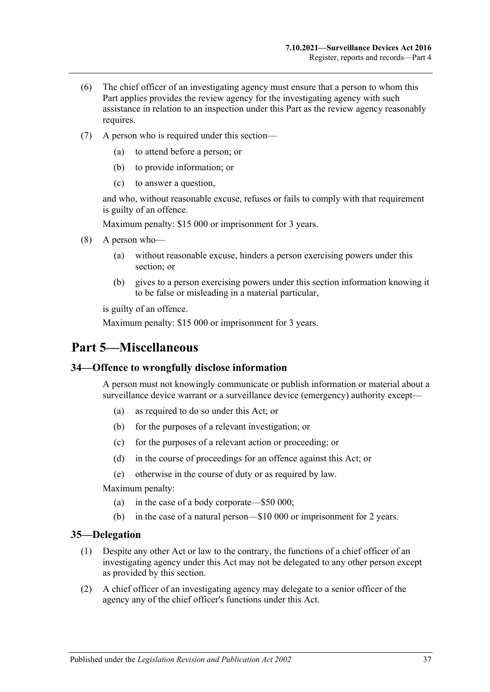- (6) The chief officer of an investigating agency must ensure that a person to whom this Part applies provides the review agency for the investigating agency with such assistance in relation to an inspection under this Part as the review agency reasonably requires.
- (7) A person who is required under this section—
	- (a) to attend before a person; or
	- (b) to provide information; or
	- (c) to answer a question,

and who, without reasonable excuse, refuses or fails to comply with that requirement is guilty of an offence.

Maximum penalty: \$15 000 or imprisonment for 3 years.

- (8) A person who—
	- (a) without reasonable excuse, hinders a person exercising powers under this section; or
	- (b) gives to a person exercising powers under this section information knowing it to be false or misleading in a material particular,

is guilty of an offence.

Maximum penalty: \$15 000 or imprisonment for 3 years.

## <span id="page-36-0"></span>53B**Part 5—Miscellaneous**

#### <span id="page-36-1"></span>8B**34—Offence to wrongfully disclose information**

A person must not knowingly communicate or publish information or material about a surveillance device warrant or a surveillance device (emergency) authority except-

- (a) as required to do so under this Act; or
- (b) for the purposes of a relevant investigation; or
- (c) for the purposes of a relevant action or proceeding; or
- (d) in the course of proceedings for an offence against this Act; or
- (e) otherwise in the course of duty or as required by law.

Maximum penalty:

- (a) in the case of a body corporate—\$50 000;
- (b) in the case of a natural person—\$10 000 or imprisonment for 2 years.

#### <span id="page-36-2"></span>9B**35—Delegation**

- (1) Despite any other Act or law to the contrary, the functions of a chief officer of an investigating agency under this Act may not be delegated to any other person except as provided by this section.
- (2) A chief officer of an investigating agency may delegate to a senior officer of the agency any of the chief officer's functions under this Act.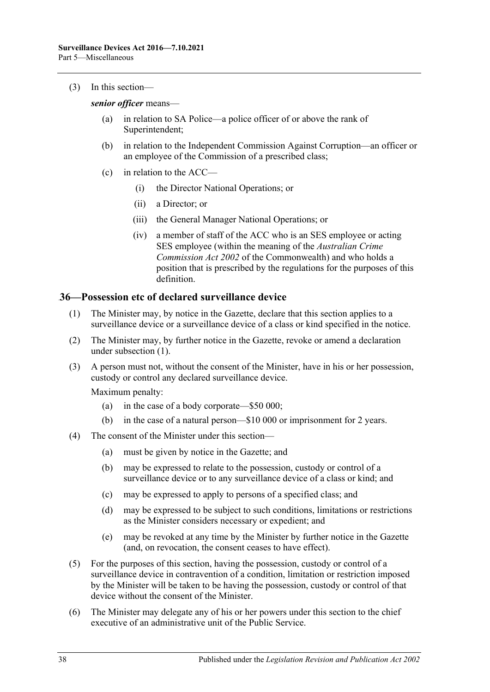(3) In this section—

*senior officer* means—

- (a) in relation to SA Police—a police officer of or above the rank of Superintendent;
- (b) in relation to the Independent Commission Against Corruption—an officer or an employee of the Commission of a prescribed class;
- (c) in relation to the ACC—
	- (i) the Director National Operations; or
	- (ii) a Director; or
	- (iii) the General Manager National Operations; or
	- (iv) a member of staff of the ACC who is an SES employee or acting SES employee (within the meaning of the *Australian Crime Commission Act 2002* of the Commonwealth) and who holds a position that is prescribed by the regulations for the purposes of this definition.

#### <span id="page-37-1"></span><span id="page-37-0"></span>10B**36—Possession etc of declared surveillance device**

- (1) The Minister may, by notice in the Gazette, declare that this section applies to a surveillance device or a surveillance device of a class or kind specified in the notice.
- (2) The Minister may, by further notice in the Gazette, revoke or amend a declaration under [subsection](#page-37-1) (1).
- (3) A person must not, without the consent of the Minister, have in his or her possession, custody or control any declared surveillance device.

Maximum penalty:

- (a) in the case of a body corporate—\$50 000;
- (b) in the case of a natural person—\$10 000 or imprisonment for 2 years.
- (4) The consent of the Minister under this section—
	- (a) must be given by notice in the Gazette; and
	- (b) may be expressed to relate to the possession, custody or control of a surveillance device or to any surveillance device of a class or kind; and
	- (c) may be expressed to apply to persons of a specified class; and
	- (d) may be expressed to be subject to such conditions, limitations or restrictions as the Minister considers necessary or expedient; and
	- (e) may be revoked at any time by the Minister by further notice in the Gazette (and, on revocation, the consent ceases to have effect).
- (5) For the purposes of this section, having the possession, custody or control of a surveillance device in contravention of a condition, limitation or restriction imposed by the Minister will be taken to be having the possession, custody or control of that device without the consent of the Minister.
- (6) The Minister may delegate any of his or her powers under this section to the chief executive of an administrative unit of the Public Service.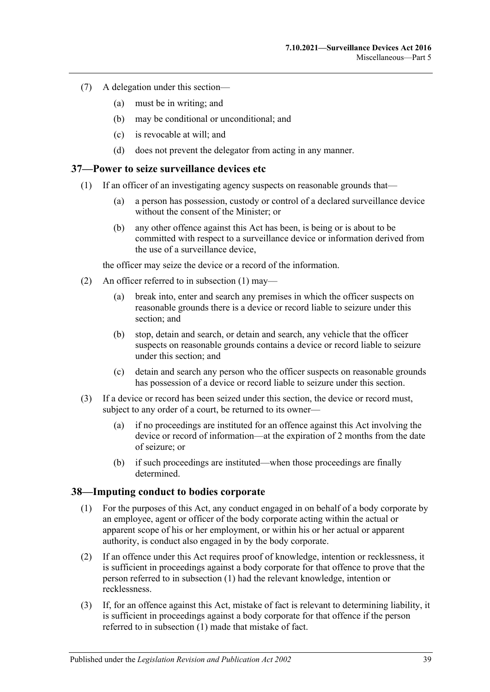- (7) A delegation under this section—
	- (a) must be in writing; and
	- (b) may be conditional or unconditional; and
	- (c) is revocable at will; and
	- (d) does not prevent the delegator from acting in any manner.

#### <span id="page-38-2"></span><span id="page-38-0"></span>11B**37—Power to seize surveillance devices etc**

- (1) If an officer of an investigating agency suspects on reasonable grounds that—
	- (a) a person has possession, custody or control of a declared surveillance device without the consent of the Minister; or
	- (b) any other offence against this Act has been, is being or is about to be committed with respect to a surveillance device or information derived from the use of a surveillance device,

the officer may seize the device or a record of the information.

- (2) An officer referred to in [subsection](#page-38-2) (1) may—
	- (a) break into, enter and search any premises in which the officer suspects on reasonable grounds there is a device or record liable to seizure under this section; and
	- (b) stop, detain and search, or detain and search, any vehicle that the officer suspects on reasonable grounds contains a device or record liable to seizure under this section; and
	- (c) detain and search any person who the officer suspects on reasonable grounds has possession of a device or record liable to seizure under this section.
- (3) If a device or record has been seized under this section, the device or record must, subject to any order of a court, be returned to its owner—
	- (a) if no proceedings are instituted for an offence against this Act involving the device or record of information—at the expiration of 2 months from the date of seizure; or
	- (b) if such proceedings are instituted—when those proceedings are finally determined.

#### <span id="page-38-3"></span><span id="page-38-1"></span>12B**38—Imputing conduct to bodies corporate**

- (1) For the purposes of this Act, any conduct engaged in on behalf of a body corporate by an employee, agent or officer of the body corporate acting within the actual or apparent scope of his or her employment, or within his or her actual or apparent authority, is conduct also engaged in by the body corporate.
- (2) If an offence under this Act requires proof of knowledge, intention or recklessness, it is sufficient in proceedings against a body corporate for that offence to prove that the person referred to in [subsection](#page-38-3) (1) had the relevant knowledge, intention or recklessness.
- (3) If, for an offence against this Act, mistake of fact is relevant to determining liability, it is sufficient in proceedings against a body corporate for that offence if the person referred to in [subsection](#page-38-3) (1) made that mistake of fact.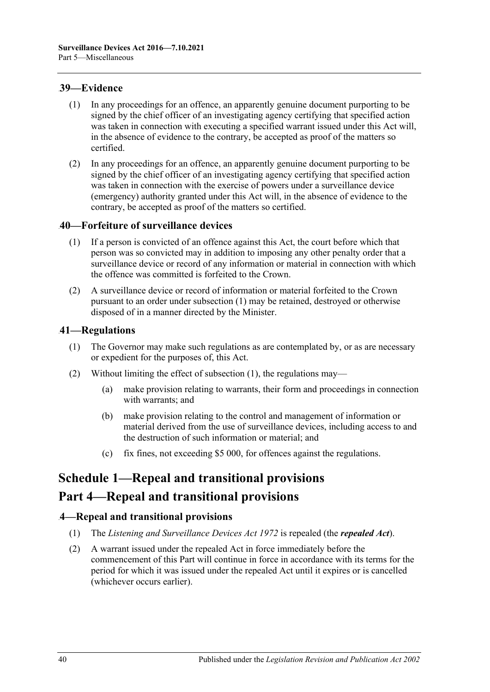#### <span id="page-39-0"></span>13B**39—Evidence**

- (1) In any proceedings for an offence, an apparently genuine document purporting to be signed by the chief officer of an investigating agency certifying that specified action was taken in connection with executing a specified warrant issued under this Act will, in the absence of evidence to the contrary, be accepted as proof of the matters so certified.
- (2) In any proceedings for an offence, an apparently genuine document purporting to be signed by the chief officer of an investigating agency certifying that specified action was taken in connection with the exercise of powers under a surveillance device (emergency) authority granted under this Act will, in the absence of evidence to the contrary, be accepted as proof of the matters so certified.

### <span id="page-39-5"></span><span id="page-39-1"></span>14B**40—Forfeiture of surveillance devices**

- (1) If a person is convicted of an offence against this Act, the court before which that person was so convicted may in addition to imposing any other penalty order that a surveillance device or record of any information or material in connection with which the offence was committed is forfeited to the Crown.
- (2) A surveillance device or record of information or material forfeited to the Crown pursuant to an order under [subsection](#page-39-5) (1) may be retained, destroyed or otherwise disposed of in a manner directed by the Minister.

### <span id="page-39-6"></span><span id="page-39-2"></span>15B**41—Regulations**

- (1) The Governor may make such regulations as are contemplated by, or as are necessary or expedient for the purposes of, this Act.
- (2) Without limiting the effect of [subsection](#page-39-6) (1), the regulations may—
	- (a) make provision relating to warrants, their form and proceedings in connection with warrants; and
	- (b) make provision relating to the control and management of information or material derived from the use of surveillance devices, including access to and the destruction of such information or material; and
	- (c) fix fines, not exceeding \$5 000, for offences against the regulations.

# <span id="page-39-3"></span>**Schedule 1—Repeal and transitional provisions**

## **Part 4—Repeal and transitional provisions**

### <span id="page-39-4"></span>40B**4—Repeal and transitional provisions**

- (1) The *[Listening and Surveillance Devices Act](http://www.legislation.sa.gov.au/index.aspx?action=legref&type=act&legtitle=Listening%20and%20Surveillance%20Devices%20Act%201972) 1972* is repealed (the *repealed Act*).
- (2) A warrant issued under the repealed Act in force immediately before the commencement of this Part will continue in force in accordance with its terms for the period for which it was issued under the repealed Act until it expires or is cancelled (whichever occurs earlier).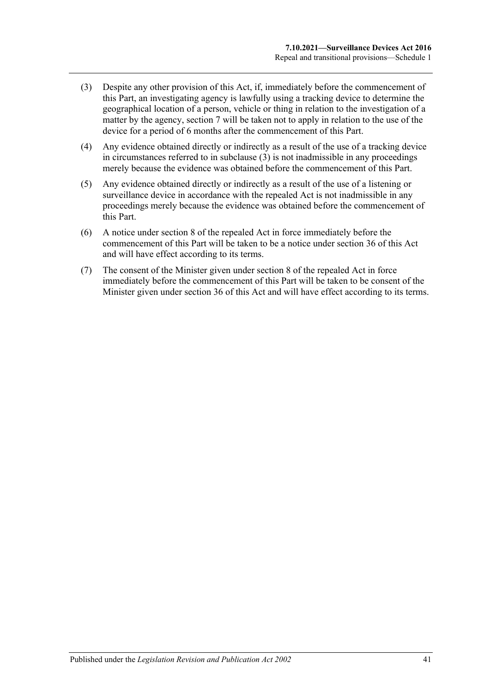- <span id="page-40-0"></span>(3) Despite any other provision of this Act, if, immediately before the commencement of this Part, an investigating agency is lawfully using a tracking device to determine the geographical location of a person, vehicle or thing in relation to the investigation of a matter by the agency, [section](#page-12-0) 7 will be taken not to apply in relation to the use of the device for a period of 6 months after the commencement of this Part.
- (4) Any evidence obtained directly or indirectly as a result of the use of a tracking device in circumstances referred to in [subclause](#page-40-0) (3) is not inadmissible in any proceedings merely because the evidence was obtained before the commencement of this Part.
- (5) Any evidence obtained directly or indirectly as a result of the use of a listening or surveillance device in accordance with the repealed Act is not inadmissible in any proceedings merely because the evidence was obtained before the commencement of this Part.
- (6) A notice under section 8 of the repealed Act in force immediately before the commencement of this Part will be taken to be a notice under [section](#page-37-0) 36 of this Act and will have effect according to its terms.
- (7) The consent of the Minister given under section 8 of the repealed Act in force immediately before the commencement of this Part will be taken to be consent of the Minister given under [section](#page-37-0) 36 of this Act and will have effect according to its terms.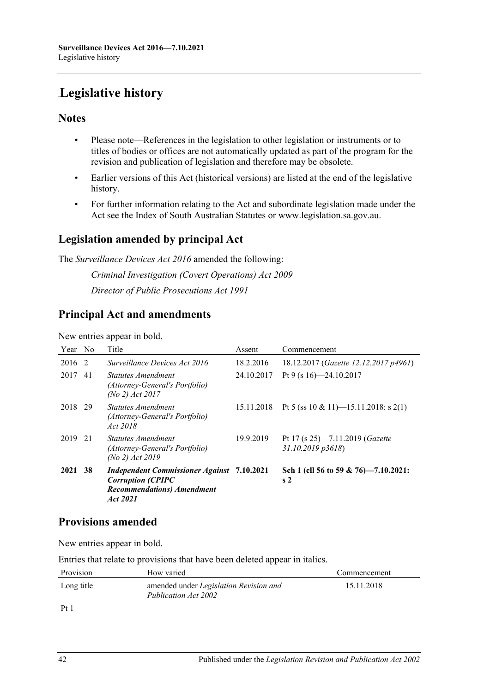# <span id="page-41-0"></span>**Legislative history**

## **Notes**

- Please note—References in the legislation to other legislation or instruments or to titles of bodies or offices are not automatically updated as part of the program for the revision and publication of legislation and therefore may be obsolete.
- Earlier versions of this Act (historical versions) are listed at the end of the legislative history.
- For further information relating to the Act and subordinate legislation made under the Act see the Index of South Australian Statutes or www.legislation.sa.gov.au.

## **Legislation amended by principal Act**

The *Surveillance Devices Act 2016* amended the following:

*Criminal Investigation (Covert Operations) Act 2009 Director of Public Prosecutions Act 1991*

## **Principal Act and amendments**

New entries appear in bold.

| Year No |    | Title                                                                                                                           | Assent     | Commencement                                               |
|---------|----|---------------------------------------------------------------------------------------------------------------------------------|------------|------------------------------------------------------------|
| 2016    | -2 | Surveillance Devices Act 2016                                                                                                   | 18.2.2016  | 18.12.2017 (Gazette 12.12.2017 p4961)                      |
| 2017    | 41 | <i>Statutes Amendment</i><br>(Attorney-General's Portfolio)<br>$(No 2)$ Act 2017                                                | 24.10.2017 | Pt 9 (s $16$ )-24.10.2017                                  |
| 2018    | 29 | Statutes Amendment<br>(Attorney-General's Portfolio)<br>Act 2018                                                                | 15.11.2018 | Pt 5 (ss 10 & 11)-15.11.2018: s 2(1)                       |
| 2019    | 21 | <i>Statutes Amendment</i><br>(Attorney-General's Portfolio)<br>(No 2) $Act 2019$                                                | 19.9.2019  | Pt 17 (s 25)—7.11.2019 ( <i>Gazette</i><br>31.10.2019p3618 |
| 2021    | 38 | <b>Independent Commissioner Against</b> 7.10.2021<br><b>Corruption (CPIPC</b><br><b>Recommendations</b> ) Amendment<br>Act 2021 |            | Sch 1 (cll 56 to 59 & 76)-7.10.2021:<br>s <sub>2</sub>     |

## **Provisions amended**

New entries appear in bold.

Entries that relate to provisions that have been deleted appear in italics.

| Provision                     | How varied                                                     | Commencement |
|-------------------------------|----------------------------------------------------------------|--------------|
| Long title                    | amended under Legislation Revision and<br>Publication Act 2002 | 15.11.2018   |
| $\mathbf{D} \cdot \mathbf{1}$ |                                                                |              |

Pt 1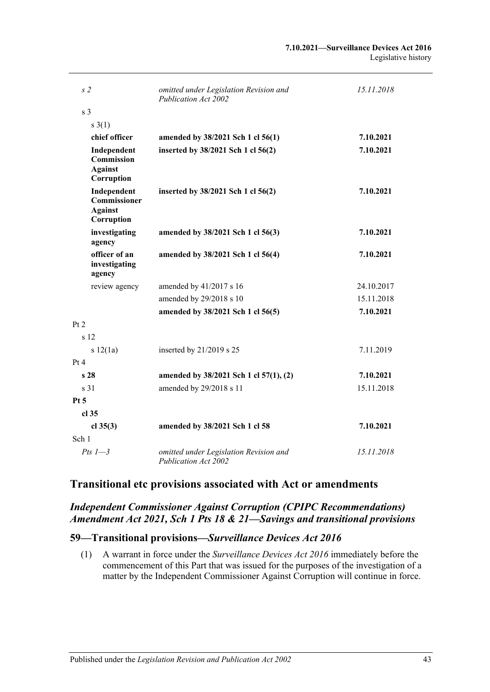| s <sub>2</sub>                                                   | omitted under Legislation Revision and<br><b>Publication Act 2002</b> | 15.11.2018 |
|------------------------------------------------------------------|-----------------------------------------------------------------------|------------|
| s <sub>3</sub>                                                   |                                                                       |            |
| $s \; 3(1)$                                                      |                                                                       |            |
| chief officer                                                    | amended by 38/2021 Sch 1 cl 56(1)                                     | 7.10.2021  |
| Independent<br><b>Commission</b><br><b>Against</b><br>Corruption | inserted by 38/2021 Sch 1 cl 56(2)                                    | 7.10.2021  |
| Independent<br>Commissioner<br><b>Against</b><br>Corruption      | inserted by 38/2021 Sch 1 cl 56(2)                                    | 7.10.2021  |
| investigating<br>agency                                          | amended by 38/2021 Sch 1 cl 56(3)                                     | 7.10.2021  |
| officer of an<br>investigating<br>agency                         | amended by 38/2021 Sch 1 cl 56(4)                                     | 7.10.2021  |
| review agency                                                    | amended by 41/2017 s 16                                               | 24.10.2017 |
|                                                                  | amended by 29/2018 s 10                                               | 15.11.2018 |
|                                                                  | amended by 38/2021 Sch 1 cl 56(5)                                     | 7.10.2021  |
| Pt 2                                                             |                                                                       |            |
| s 12                                                             |                                                                       |            |
| s 12(1a)                                                         | inserted by $21/2019$ s 25                                            | 7.11.2019  |
| Pt 4                                                             |                                                                       |            |
| s <sub>28</sub>                                                  | amended by 38/2021 Sch 1 cl 57(1), (2)                                | 7.10.2021  |
| s 31                                                             | amended by 29/2018 s 11                                               | 15.11.2018 |
| $Pt\,5$                                                          |                                                                       |            |
| cl 35                                                            |                                                                       |            |
| cl $35(3)$                                                       | amended by 38/2021 Sch 1 cl 58                                        | 7.10.2021  |
| Sch 1                                                            |                                                                       |            |
| Pts $1-3$                                                        | omitted under Legislation Revision and<br><b>Publication Act 2002</b> | 15.11.2018 |

## **Transitional etc provisions associated with Act or amendments**

### *Independent Commissioner Against Corruption (CPIPC Recommendations) Amendment Act 2021, Sch 1 Pts 18 & 21—Savings and transitional provisions*

#### **59—Transitional provisions—***Surveillance Devices Act 2016*

(1) A warrant in force under the *[Surveillance Devices Act](http://www.legislation.sa.gov.au/index.aspx?action=legref&type=act&legtitle=Surveillance%20Devices%20Act%202016) 2016* immediately before the commencement of this Part that was issued for the purposes of the investigation of a matter by the Independent Commissioner Against Corruption will continue in force.